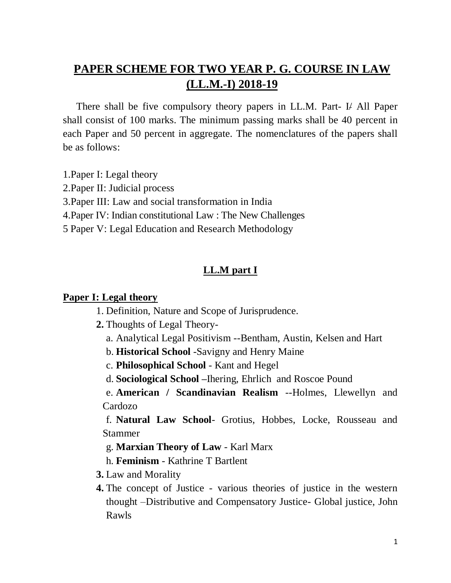# **PAPER SCHEME FOR TWO YEAR P. G. COURSE IN LAW (LL.M.-I) 2018-19**

There shall be five compulsory theory papers in LL.M. Part- I/ All Paper shall consist of 100 marks. The minimum passing marks shall be 40 percent in each Paper and 50 percent in aggregate. The nomenclatures of the papers shall be as follows:

- 1.Paper I: Legal theory
- 2.Paper II: Judicial process
- 3.Paper III: Law and social transformation in India
- 4.Paper IV: Indian constitutional Law : The New Challenges
- 5 Paper V: Legal Education and Research Methodology

## **LL.M part I**

#### **Paper I: Legal theory**

- 1. Definition, Nature and Scope of Jurisprudence.
- **2.** Thoughts of Legal Theory
	- a. Analytical Legal Positivism --Bentham, Austin, Kelsen and Hart
	- b. **Historical School** -Savigny and Henry Maine
	- c. **Philosophical School** Kant and Hegel
	- d. **Sociological School –**Ihering, Ehrlich and Roscoe Pound

e. **American / Scandinavian Realism** --Holmes, Llewellyn and Cardozo

f. **Natural Law School**- Grotius, Hobbes, Locke, Rousseau and Stammer

g. **Marxian Theory of Law** - Karl Marx

h. **Feminism** - Kathrine T Bartlent

- **3.** Law and Morality
- **4.** The concept of Justice various theories of justice in the western thought –Distributive and Compensatory Justice- Global justice, John Rawls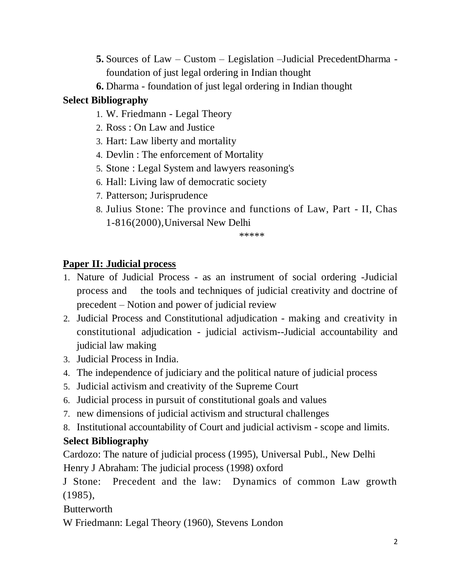- **5.** Sources of Law Custom Legislation –Judicial PrecedentDharma foundation of just legal ordering in Indian thought
- **6.** Dharma foundation of just legal ordering in Indian thought

# **Select Bibliography**

- 1. W. Friedmann Legal Theory
- 2. Ross : On Law and Justice
- 3. Hart: Law liberty and mortality
- 4. Devlin : The enforcement of Mortality
- 5. Stone : Legal System and lawyers reasoning's
- 6. Hall: Living law of democratic society
- 7. Patterson; Jurisprudence
- 8. Julius Stone: The province and functions of Law, Part II, Chas 1-816(2000),Universal New Delhi

\*\*\*\*\*

# **Paper II: Judicial process**

- 1. Nature of Judicial Process as an instrument of social ordering -Judicial process and the tools and techniques of judicial creativity and doctrine of precedent – Notion and power of judicial review
- 2. Judicial Process and Constitutional adjudication making and creativity in constitutional adjudication - judicial activism--Judicial accountability and judicial law making
- 3. Judicial Process in India.
- 4. The independence of judiciary and the political nature of judicial process
- 5. Judicial activism and creativity of the Supreme Court
- 6. Judicial process in pursuit of constitutional goals and values
- 7. new dimensions of judicial activism and structural challenges
- 8. Institutional accountability of Court and judicial activism scope and limits.

# **Select Bibliography**

Cardozo: The nature of judicial process (1995), Universal Publ., New Delhi Henry J Abraham: The judicial process (1998) oxford

J Stone: Precedent and the law: Dynamics of common Law growth (1985),

**Butterworth** 

W Friedmann: Legal Theory (1960), Stevens London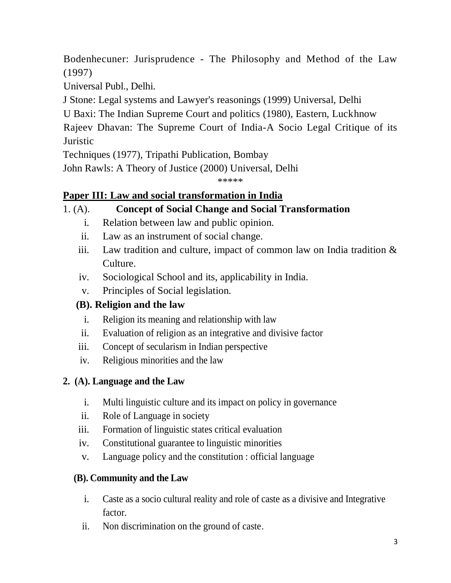Bodenhecuner: Jurisprudence - The Philosophy and Method of the Law (1997)

Universal Publ., Delhi.

J Stone: Legal systems and Lawyer's reasonings (1999) Universal, Delhi

U Baxi: The Indian Supreme Court and politics (1980), Eastern, Luckhnow

Rajeev Dhavan: The Supreme Court of India-A Socio Legal Critique of its **Juristic** 

Techniques (1977), Tripathi Publication, Bombay

John Rawls: A Theory of Justice (2000) Universal, Delhi

\*\*\*\*\*

# **Paper III: Law and social transformation in India**

# 1. (A). **Concept of Social Change and Social Transformation**

- i. Relation between law and public opinion.
- ii. Law as an instrument of social change.
- iii. Law tradition and culture, impact of common law on India tradition  $\&$ Culture.
- iv. Sociological School and its, applicability in India.
- v. Principles of Social legislation.

# **(B). Religion and the law**

- i. Religion its meaning and relationship with law
- ii. Evaluation of religion as an integrative and divisive factor
- iii. Concept of secularism in Indian perspective
- iv. Religious minorities and the law

# **2. (A). Language and the Law**

- i. Multi linguistic culture and its impact on policy in governance
- ii. Role of Language in society
- iii. Formation of linguistic states critical evaluation
- iv. Constitutional guarantee to linguistic minorities
- v. Language policy and the constitution : official language

## **(B). Community and the Law**

- i. Caste as a socio cultural reality and role of caste as a divisive and Integrative factor.
- ii. Non discrimination on the ground of caste.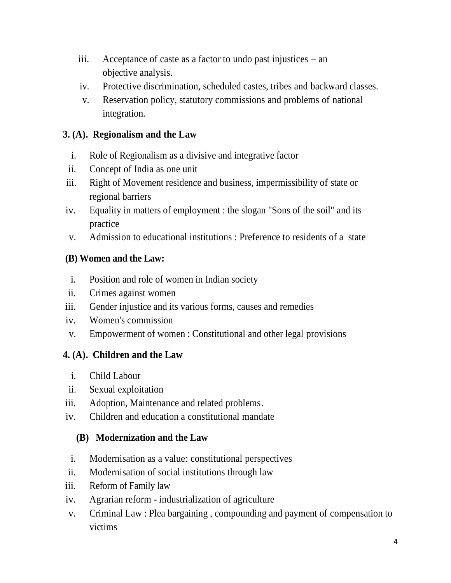- iii. Acceptance of caste as a factor to undo past injustices an objective analysis.
- iv. Protective discrimination, scheduled castes, tribes and backward classes.
- v. Reservation policy, statutory commissions and problems of national integration.

## **3. (A). Regionalism and the Law**

- i. Role of Regionalism as a divisive and integrative factor
- ii. Concept of India as one unit
- iii. Right of Movement residence and business, impermissibility of state or regional barriers
- iv. Equality in matters of employment : the slogan "Sons of the soil" and its practice
- v. Admission to educational institutions : Preference to residents of a state

## **(B) Women and the Law:**

- i. Position and role of women in Indian society
- ii. Crimes against women
- iii. Gender injustice and its various forms, causes and remedies
- iv. Women's commission
- v. Empowerment of women : Constitutional and other legal provisions

## **4. (A). Children and the Law**

- i. Child Labour
- ii. Sexual exploitation
- iii. Adoption, Maintenance and related problems.
- iv. Children and education a constitutional mandate

## **(B) Modernization and the Law**

- i. Modernisation as a value: constitutional perspectives
- ii. Modernisation of social institutions through law
- iii. Reform of Family law
- iv. Agrarian reform industrialization of agriculture
- v. Criminal Law : Plea bargaining , compounding and payment of compensation to victims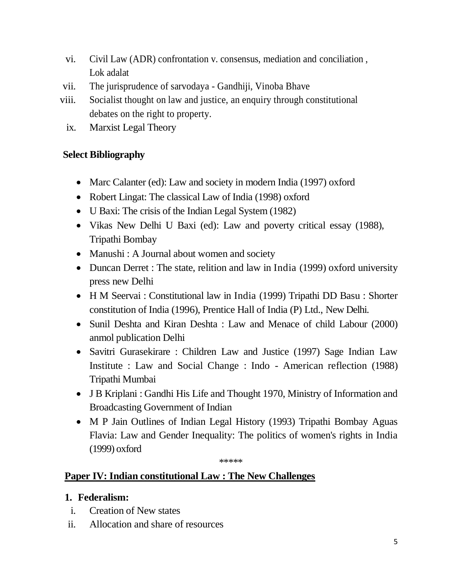- vi. Civil Law (ADR) confrontation v. consensus, mediation and conciliation , Lok adalat
- vii. The jurisprudence of sarvodaya Gandhiji, Vinoba Bhave
- viii. Socialist thought on law and justice, an enquiry through constitutional debates on the right to property.
	- ix. Marxist Legal Theory

## **Select Bibliography**

- Marc Calanter (ed): Law and society in modern India (1997) oxford
- Robert Lingat: The classical Law of India (1998) oxford
- U Baxi: The crisis of the Indian Legal System (1982)
- Vikas New Delhi U Baxi (ed): Law and poverty critical essay (1988), Tripathi Bombay
- Manushi : A Journal about women and society
- Duncan Derret : The state, relition and law in India (1999) oxford university press new Delhi
- H M Seervai : Constitutional law in India (1999) Tripathi DD Basu : Shorter constitution of India (1996), Prentice Hall of India (P) Ltd., New Delhi.
- Sunil Deshta and Kiran Deshta : Law and Menace of child Labour (2000) anmol publication Delhi
- Savitri Gurasekirare : Children Law and Justice (1997) Sage Indian Law Institute : Law and Social Change : Indo - American reflection (1988) Tripathi Mumbai
- J B Kriplani : Gandhi His Life and Thought 1970, Ministry of Information and Broadcasting Government of Indian
- M P Jain Outlines of Indian Legal History (1993) Tripathi Bombay Aguas Flavia: Law and Gender Inequality: The politics of women's rights in India (1999) oxford

\*\*\*\*\*

## **Paper IV: Indian constitutional Law : The New Challenges**

## **1. Federalism:**

- i. Creation of New states
- ii. Allocation and share of resources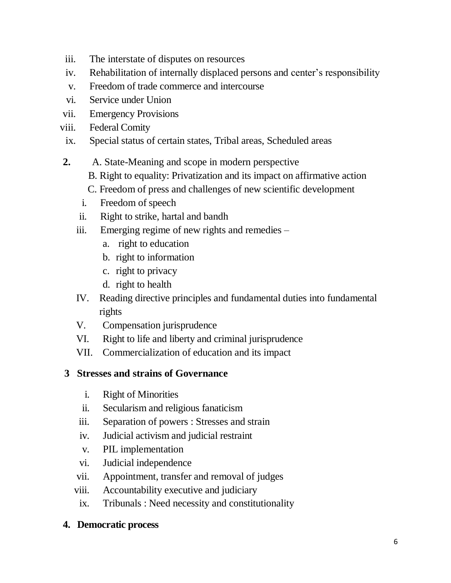- iii. The interstate of disputes on resources
- iv. Rehabilitation of internally displaced persons and center's responsibility
- v. Freedom of trade commerce and intercourse
- vi. Service under Union
- vii. Emergency Provisions
- viii. Federal Comity
- ix. Special status of certain states, Tribal areas, Scheduled areas
- **2.** A. State-Meaning and scope in modern perspective
	- B. Right to equality: Privatization and its impact on affirmative action
	- C. Freedom of press and challenges of new scientific development
	- i. Freedom of speech
	- ii. Right to strike, hartal and bandh
	- iii. Emerging regime of new rights and remedies
		- a. right to education
		- b. right to information
		- c. right to privacy
		- d. right to health
	- IV. Reading directive principles and fundamental duties into fundamental rights
	- V. Compensation jurisprudence
	- VI. Right to life and liberty and criminal jurisprudence
	- VII. Commercialization of education and its impact

## **3 Stresses and strains of Governance**

- i. Right of Minorities
- ii. Secularism and religious fanaticism
- iii. Separation of powers : Stresses and strain
- iv. Judicial activism and judicial restraint
- v. PIL implementation
- vi. Judicial independence
- vii. Appointment, transfer and removal of judges
- viii. Accountability executive and judiciary
- ix. Tribunals : Need necessity and constitutionality

## **4. Democratic process**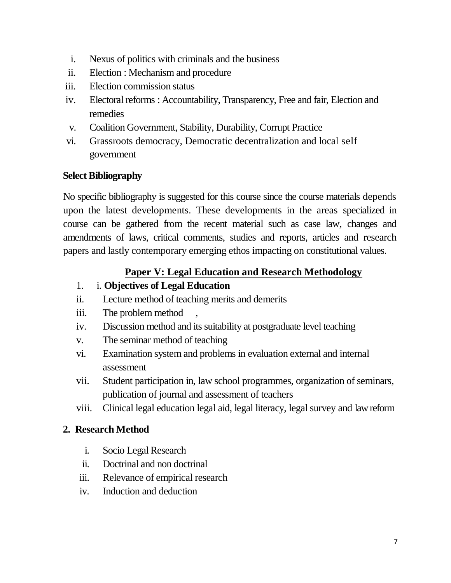- i. Nexus of politics with criminals and the business
- ii. Election : Mechanism and procedure
- iii. Election commission status
- iv. Electoral reforms : Accountability, Transparency, Free and fair, Election and remedies
- v. Coalition Government, Stability, Durability, Corrupt Practice
- vi. Grassroots democracy, Democratic decentralization and local self government

## **Select Bibliography**

No specific bibliography is suggested for this course since the course materials depends upon the latest developments. These developments in the areas specialized in course can be gathered from the recent material such as case law, changes and amendments of laws, critical comments, studies and reports, articles and research papers and lastly contemporary emerging ethos impacting on constitutional values.

## **Paper V: Legal Education and Research Methodology**

- 1. i. **Objectives of Legal Education**
- ii. Lecture method of teaching merits and demerits
- iii. The problem method
- iv. Discussion method and its suitability at postgraduate level teaching
- v. The seminar method of teaching
- vi. Examination system and problems in evaluation external and internal assessment
- vii. Student participation in, law school programmes, organization of seminars, publication of journal and assessment of teachers
- viii. Clinical legal education legal aid, legal literacy, legal survey and law reform

## **2. Research Method**

- i. Socio Legal Research
- ii. Doctrinal and non doctrinal
- iii. Relevance of empirical research
- iv. Induction and deduction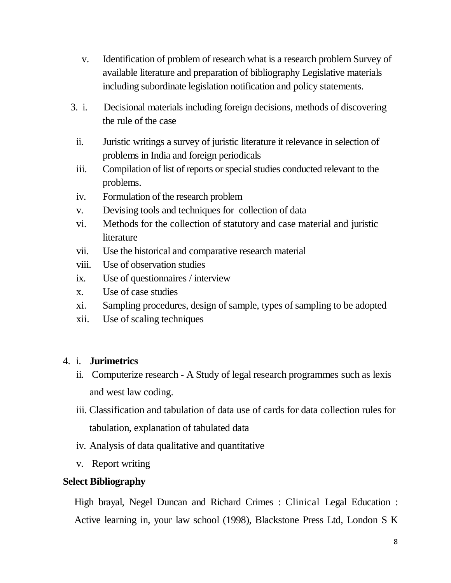- v. Identification of problem of research what is a research problem Survey of available literature and preparation of bibliography Legislative materials including subordinate legislation notification and policy statements.
- 3. i. Decisional materials including foreign decisions, methods of discovering the rule of the case
	- ii. Juristic writings a survey of juristic literature it relevance in selection of problems in India and foreign periodicals
	- iii. Compilation of list of reports or special studies conducted relevant to the problems.
	- iv. Formulation of the research problem
	- v. Devising tools and techniques for collection of data
	- vi. Methods for the collection of statutory and case material and juristic **literature**
	- vii. Use the historical and comparative research material
	- viii. Use of observation studies
	- ix. Use of questionnaires / interview
	- x. Use of case studies
	- xi. Sampling procedures, design of sample, types of sampling to be adopted
	- xii. Use of scaling techniques

## 4. i. **Jurimetrics**

- ii. Computerize research A Study of legal research programmes such as lexis and west law coding.
- iii. Classification and tabulation of data use of cards for data collection rules for tabulation, explanation of tabulated data
- iv. Analysis of data qualitative and quantitative
- v. Report writing

# **Select Bibliography**

High brayal, Negel Duncan and Richard Crimes : Clinical Legal Education : Active learning in, your law school (1998), Blackstone Press Ltd, London S K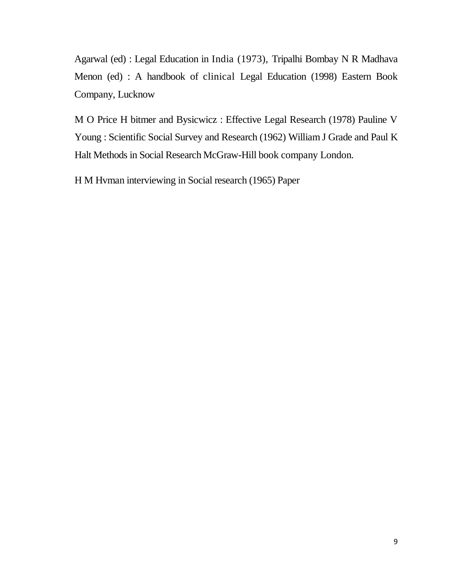Agarwal (ed) : Legal Education in India (1973), Tripalhi Bombay N R Madhava Menon (ed) : A handbook of clinical Legal Education (1998) Eastern Book Company, Lucknow

M O Price H bitmer and Bysicwicz : Effective Legal Research (1978) Pauline V Young : Scientific Social Survey and Research (1962) William J Grade and Paul K Halt Methods in Social Research McGraw-Hill book company London.

H M Hvman interviewing in Social research (1965) Paper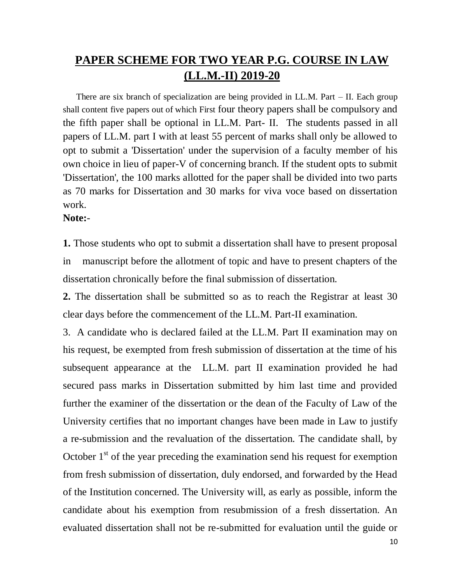# **PAPER SCHEME FOR TWO YEAR P.G. COURSE IN LAW (LL.M.-II) 2019-20**

There are six branch of specialization are being provided in LL.M. Part – II. Each group shall content five papers out of which First four theory papers shall be compulsory and the fifth paper shall be optional in LL.M. Part- II. The students passed in all papers of LL.M. part I with at least 55 percent of marks shall only be allowed to opt to submit a 'Dissertation' under the supervision of a faculty member of his own choice in lieu of paper-V of concerning branch. If the student opts to submit 'Dissertation', the 100 marks allotted for the paper shall be divided into two parts as 70 marks for Dissertation and 30 marks for viva voce based on dissertation work.

**Note:**-

**1.** Those students who opt to submit a dissertation shall have to present proposal in manuscript before the allotment of topic and have to present chapters of the dissertation chronically before the final submission of dissertation.

**2.** The dissertation shall be submitted so as to reach the Registrar at least 30 clear days before the commencement of the LL.M. Part-II examination.

3. A candidate who is declared failed at the LL.M. Part II examination may on his request, be exempted from fresh submission of dissertation at the time of his subsequent appearance at the LL.M. part II examination provided he had secured pass marks in Dissertation submitted by him last time and provided further the examiner of the dissertation or the dean of the Faculty of Law of the University certifies that no important changes have been made in Law to justify a re-submission and the revaluation of the dissertation. The candidate shall, by October  $1<sup>st</sup>$  of the year preceding the examination send his request for exemption from fresh submission of dissertation, duly endorsed, and forwarded by the Head of the Institution concerned. The University will, as early as possible, inform the candidate about his exemption from resubmission of a fresh dissertation. An evaluated dissertation shall not be re-submitted for evaluation until the guide or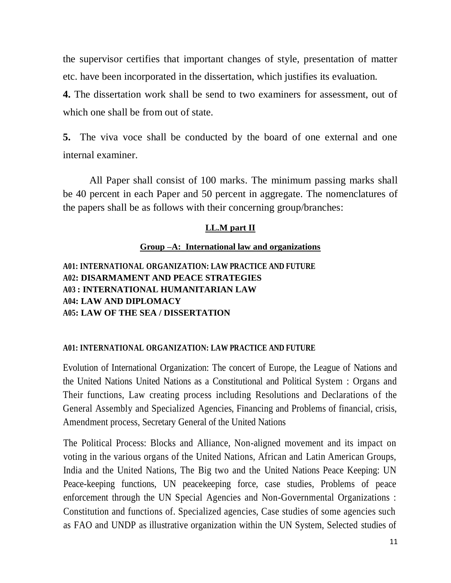the supervisor certifies that important changes of style, presentation of matter etc. have been incorporated in the dissertation, which justifies its evaluation.

**4.** The dissertation work shall be send to two examiners for assessment, out of which one shall be from out of state.

**5.** The viva voce shall be conducted by the board of one external and one internal examiner.

All Paper shall consist of 100 marks. The minimum passing marks shall be 40 percent in each Paper and 50 percent in aggregate. The nomenclatures of the papers shall be as follows with their concerning group/branches:

#### **LL.M part II**

### **Group –A: International law and organizations**

**A01: INTERNATIONAL ORGANIZATION: LAW PRACTICE AND FUTURE A02: DISARMAMENT AND PEACE STRATEGIES A03 : INTERNATIONAL HUMANITARIAN LAW A04: LAW AND DIPLOMACY A05: LAW OF THE SEA / DISSERTATION**

#### **A01: INTERNATIONAL ORGANIZATION: LAW PRACTICE AND FUTURE**

Evolution of International Organization: The concert of Europe, the League of Nations and the United Nations United Nations as a Constitutional and Political System : Organs and Their functions, Law creating process including Resolutions and Declarations of the General Assembly and Specialized Agencies, Financing and Problems of financial, crisis, Amendment process, Secretary General of the United Nations

The Political Process: Blocks and Alliance, Non-aligned movement and its impact on voting in the various organs of the United Nations, African and Latin American Groups, India and the United Nations, The Big two and the United Nations Peace Keeping: UN Peace-keeping functions, UN peacekeeping force, case studies, Problems of peace enforcement through the UN Special Agencies and Non-Governmental Organizations : Constitution and functions of. Specialized agencies, Case studies of some agencies such as FAO and UNDP as illustrative organization within the UN System, Selected studies of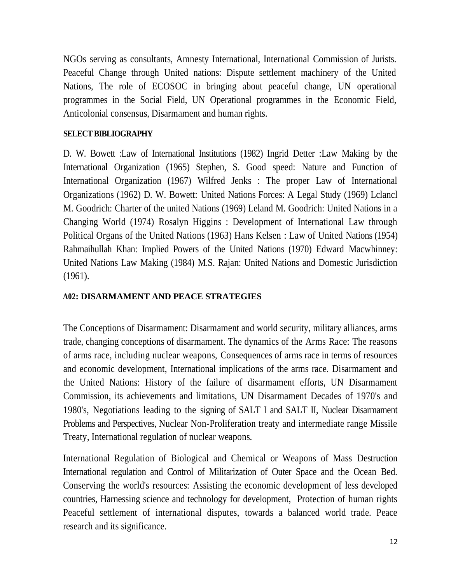NGOs serving as consultants, Amnesty International, International Commission of Jurists. Peaceful Change through United nations: Dispute settlement machinery of the United Nations, The role of ECOSOC in bringing about peaceful change, UN operational programmes in the Social Field, UN Operational programmes in the Economic Field, Anticolonial consensus, Disarmament and human rights.

### **SELECT BIBLIOGRAPHY**

D. W. Bowett :Law of International Institutions (1982) Ingrid Detter :Law Making by the International Organization (1965) Stephen, S. Good speed: Nature and Function of International Organization (1967) Wilfred Jenks : The proper Law of International Organizations (1962) D. W. Bowett: United Nations Forces: A Legal Study (1969) Lclancl M. Goodrich: Charter of the united Nations (1969) Leland M. Goodrich: United Nations in a Changing World (1974) Rosalyn Higgins : Development of International Law through Political Organs of the United Nations (1963) Hans Kelsen : Law of United Nations (1954) Rahmaihullah Khan: Implied Powers of the United Nations (1970) Edward Macwhinney: United Nations Law Making (1984) M.S. Rajan: United Nations and Domestic Jurisdiction (1961).

### **A02: DISARMAMENT AND PEACE STRATEGIES**

The Conceptions of Disarmament: Disarmament and world security, military alliances, arms trade, changing conceptions of disarmament. The dynamics of the Arms Race: The reasons of arms race, including nuclear weapons, Consequences of arms race in terms of resources and economic development, International implications of the arms race. Disarmament and the United Nations: History of the failure of disarmament efforts, UN Disarmament Commission, its achievements and limitations, UN Disarmament Decades of 1970's and 1980's, Negotiations leading to the signing of SALT I and SALT II, Nuclear Disarmament Problems and Perspectives, Nuclear Non-Proliferation treaty and intermediate range Missile Treaty, International regulation of nuclear weapons.

International Regulation of Biological and Chemical or Weapons of Mass Destruction International regulation and Control of Militarization of Outer Space and the Ocean Bed. Conserving the world's resources: Assisting the economic development of less developed countries, Harnessing science and technology for development, Protection of human rights Peaceful settlement of international disputes, towards a balanced world trade. Peace research and its significance.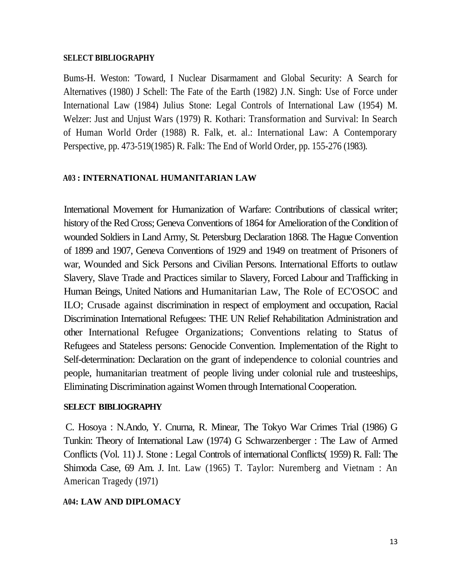#### **SELECT BIBLIOGRAPHY**

Bums-H. Weston: 'Toward, I Nuclear Disarmament and Global Security: A Search for Alternatives (1980) J Schell: The Fate of the Earth (1982) J.N. Singh: Use of Force under International Law (1984) Julius Stone: Legal Controls of International Law (1954) M. Welzer: Just and Unjust Wars (1979) R. Kothari: Transformation and Survival: In Search of Human World Order (1988) R. Falk, et. al.: International Law: A Contemporary Perspective, pp. 473-519(1985) R. Falk: The End of World Order, pp. 155-276 (1983).

#### **A03 : INTERNATIONAL HUMANITARIAN LAW**

International Movement for Humanization of Warfare: Contributions of classical writer; history of the Red Cross; Geneva Conventions of 1864 for Amelioration of the Condition of wounded Soldiers in Land Army, St. Petersburg Declaration 1868. The Hague Convention of 1899 and 1907, Geneva Conventions of 1929 and 1949 on treatment of Prisoners of war, Wounded and Sick Persons and Civilian Persons. International Efforts to outlaw Slavery, Slave Trade and Practices similar to Slavery, Forced Labour and Trafficking in Human Beings, United Nations and Humanitarian Law, The Role of EC'OSOC and ILO; Crusade against discrimination in respect of employment and occupation, Racial Discrimination International Refugees: THE UN Relief Rehabilitation Administration and other International Refugee Organizations; Conventions relating to Status of Refugees and Stateless persons: Genocide Convention. Implementation of the Right to Self-determination: Declaration on the grant of independence to colonial countries and people, humanitarian treatment of people living under colonial rule and trusteeships, Eliminating Discrimination against Women through International Cooperation.

#### **SELECT BIBLIOGRAPHY**

C. Hosoya : N.Ando, Y. Cnurna, R. Minear, The Tokyo War Crimes Trial (1986) G Tunkin: Theory of International Law (1974) G Schwarzenberger : The Law of Armed Conflicts (Vol. 11) J. Stone : Legal Controls of international Conflicts( 1959) R. Fall: The Shimoda Case, 69 Am. J. Int. Law (1965) T. Taylor: Nuremberg and Vietnam : An American Tragedy (1971)

#### **A04: LAW AND DIPLOMACY**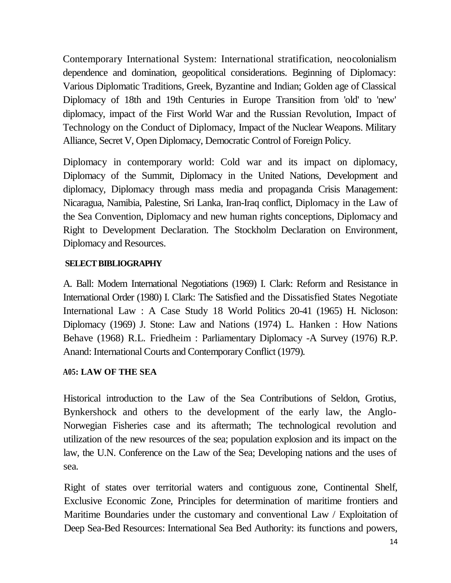Contemporary International System: International stratification, neocolonialism dependence and domination, geopolitical considerations. Beginning of Diplomacy: Various Diplomatic Traditions, Greek, Byzantine and Indian; Golden age of Classical Diplomacy of 18th and 19th Centuries in Europe Transition from 'old' to 'new' diplomacy, impact of the First World War and the Russian Revolution, Impact of Technology on the Conduct of Diplomacy, Impact of the Nuclear Weapons. Military Alliance, Secret V, Open Diplomacy, Democratic Control of Foreign Policy.

Diplomacy in contemporary world: Cold war and its impact on diplomacy, Diplomacy of the Summit, Diplomacy in the United Nations, Development and diplomacy, Diplomacy through mass media and propaganda Crisis Management: Nicaragua, Namibia, Palestine, Sri Lanka, Iran-Iraq conflict, Diplomacy in the Law of the Sea Convention, Diplomacy and new human rights conceptions, Diplomacy and Right to Development Declaration. The Stockholm Declaration on Environment, Diplomacy and Resources.

### **SELECT BIBLIOGRAPHY**

A. Ball: Modem International Negotiations (1969) I. Clark: Reform and Resistance in International Order (1980) I. Clark: The Satisfied and the Dissatisfied States Negotiate International Law : A Case Study 18 World Politics 20-41 (1965) H. Nicloson: Diplomacy (1969) J. Stone: Law and Nations (1974) L. Hanken : How Nations Behave (1968) R.L. Friedheim : Parliamentary Diplomacy -A Survey (1976) R.P. Anand: International Courts and Contemporary Conflict (1979).

## **A05: LAW OF THE SEA**

Historical introduction to the Law of the Sea Contributions of Seldon, Grotius, Bynkershock and others to the development of the early law, the Anglo-Norwegian Fisheries case and its aftermath; The technological revolution and utilization of the new resources of the sea; population explosion and its impact on the law, the U.N. Conference on the Law of the Sea; Developing nations and the uses of sea.

Right of states over territorial waters and contiguous zone, Continental Shelf, Exclusive Economic Zone, Principles for determination of maritime frontiers and Maritime Boundaries under the customary and conventional Law / Exploitation of Deep Sea-Bed Resources: International Sea Bed Authority: its functions and powers,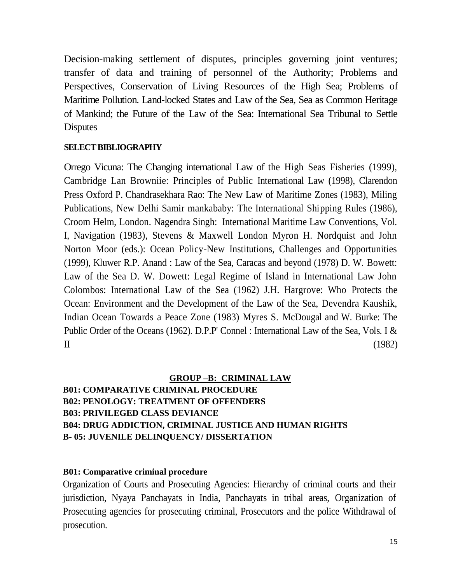Decision-making settlement of disputes, principles governing joint ventures; transfer of data and training of personnel of the Authority; Problems and Perspectives, Conservation of Living Resources of the High Sea; Problems of Maritime Pollution. Land-locked States and Law of the Sea, Sea as Common Heritage of Mankind; the Future of the Law of the Sea: International Sea Tribunal to Settle **Disputes** 

#### **SELECT BIBLIOGRAPHY**

Orrego Vicuna: The Changing international Law of the High Seas Fisheries (1999), Cambridge Lan Browniie: Principles of Public International Law (1998), Clarendon Press Oxford P. Chandrasekhara Rao: The New Law of Maritime Zones (1983), Miling Publications, New Delhi Samir mankababy: The International Shipping Rules (1986), Croom Helm, London. Nagendra Singh: International Maritime Law Conventions, Vol. I, Navigation (1983), Stevens & Maxwell London Myron H. Nordquist and John Norton Moor (eds.): Ocean Policy-New Institutions, Challenges and Opportunities (1999), Kluwer R.P. Anand : Law of the Sea, Caracas and beyond (1978) D. W. Bowett: Law of the Sea D. W. Dowett: Legal Regime of Island in International Law John Colombos: International Law of the Sea (1962) J.H. Hargrove: Who Protects the Ocean: Environment and the Development of the Law of the Sea, Devendra Kaushik, Indian Ocean Towards a Peace Zone (1983) Myres S. McDougal and W. Burke: The Public Order of the Oceans (1962). D.P.P' Connel : International Law of the Sea, Vols. I &  $II$  (1982)

#### **GROUP –B: CRIMINAL LAW**

## **B01: COMPARATIVE CRIMINAL PROCEDURE B02: PENOLOGY: TREATMENT OF OFFENDERS B03: PRIVILEGED CLASS DEVIANCE B04: DRUG ADDICTION, CRIMINAL JUSTICE AND HUMAN RIGHTS B- 05: JUVENILE DELINQUENCY/ DISSERTATION**

#### **B01: Comparative criminal procedure**

Organization of Courts and Prosecuting Agencies: Hierarchy of criminal courts and their jurisdiction, Nyaya Panchayats in India, Panchayats in tribal areas, Organization of Prosecuting agencies for prosecuting criminal, Prosecutors and the police Withdrawal of prosecution.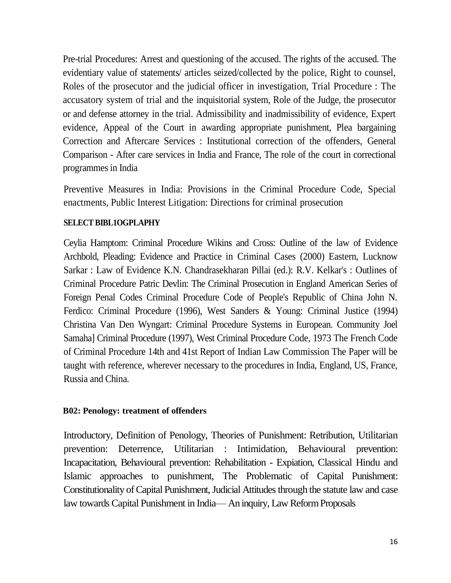Pre-trial Procedures: Arrest and questioning of the accused. The rights of the accused. The evidentiary value of statements/ articles seized/collected by the police, Right to counsel, Roles of the prosecutor and the judicial officer in investigation, Trial Procedure : The accusatory system of trial and the inquisitorial system, Role of the Judge, the prosecutor or and defense attorney in the trial. Admissibility and inadmissibility of evidence, Expert evidence, Appeal of the Court in awarding appropriate punishment, Plea bargaining Correction and Aftercare Services : Institutional correction of the offenders, General Comparison - After care services in India and France, The role of the court in correctional programmes in India

Preventive Measures in India: Provisions in the Criminal Procedure Code, Special enactments, Public Interest Litigation: Directions for criminal prosecution

#### **SELECT BIBL1OGPLAPHY**

Ceylia Hamptom: Criminal Procedure Wikins and Cross: Outline of the law of Evidence Archbold, Pleading: Evidence and Practice in Criminal Cases (2000) Eastern, Lucknow Sarkar : Law of Evidence K.N. Chandrasekharan Pillai (ed.): R.V. Kelkar's : Outlines of Criminal Procedure Patric Devlin: The Criminal Prosecution in England American Series of Foreign Penal Codes Criminal Procedure Code of People's Republic of China John N. Ferdico: Criminal Procedure (1996), West Sanders & Young: Criminal Justice (1994) Christina Van Den Wyngart: Criminal Procedure Systems in European. Community Joel Samaha] Criminal Procedure (1997), West Criminal Procedure Code, 1973 The French Code of Criminal Procedure 14th and 41st Report of Indian Law Commission The Paper will be taught with reference, wherever necessary to the procedures in India, England, US, France, Russia and China.

#### **B02: Penology: treatment of offenders**

Introductory, Definition of Penology, Theories of Punishment: Retribution, Utilitarian prevention: Deterrence, Utilitarian : Intimidation, Behavioural prevention: Incapacitation, Behavioural prevention: Rehabilitation - Expiation, Classical Hindu and Islamic approaches to punishment, The Problematic of Capital Punishment: Constitutionality of Capital Punishment, Judicial Attitudes through the statute law and case law towards Capital Punishment in India— An inquiry, Law Reform Proposals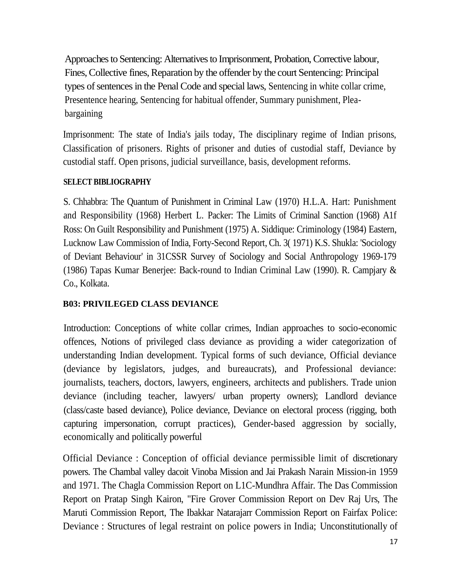Approaches to Sentencing: Alternatives to Imprisonment, Probation, Corrective labour, Fines, Collective fines, Reparation by the offender by the court Sentencing: Principal types of sentences in the Penal Code and special laws, Sentencing in white collar crime, Presentence hearing, Sentencing for habitual offender, Summary punishment, Pleabargaining

Imprisonment: The state of India's jails today, The disciplinary regime of Indian prisons, Classification of prisoners. Rights of prisoner and duties of custodial staff, Deviance by custodial staff. Open prisons, judicial surveillance, basis, development reforms.

### **SELECT BIBLIOGRAPHY**

S. Chhabbra: The Quantum of Punishment in Criminal Law (1970) H.L.A. Hart: Punishment and Responsibility (1968) Herbert L. Packer: The Limits of Criminal Sanction (1968) A1f Ross: On Guilt Responsibility and Punishment (1975) A. Siddique: Criminology (1984) Eastern, Lucknow Law Commission of India, Forty-Second Report, Ch. 3( 1971) K.S. Shukla: 'Sociology of Deviant Behaviour' in 31CSSR Survey of Sociology and Social Anthropology 1969-179 (1986) Tapas Kumar Benerjee: Back-round to Indian Criminal Law (1990). R. Campjary & Co., Kolkata.

## **B03: PRIVILEGED CLASS DEVIANCE**

Introduction: Conceptions of white collar crimes, Indian approaches to socio-economic offences, Notions of privileged class deviance as providing a wider categorization of understanding Indian development. Typical forms of such deviance, Official deviance (deviance by legislators, judges, and bureaucrats), and Professional deviance: journalists, teachers, doctors, lawyers, engineers, architects and publishers. Trade union deviance (including teacher, lawyers/ urban property owners); Landlord deviance (class/caste based deviance), Police deviance, Deviance on electoral process (rigging, both capturing impersonation, corrupt practices), Gender-based aggression by socially, economically and politically powerful

Official Deviance : Conception of official deviance permissible limit of discretionary powers. The Chambal valley dacoit Vinoba Mission and Jai Prakash Narain Mission-in 1959 and 1971. The Chagla Commission Report on L1C-Mundhra Affair. The Das Commission Report on Pratap Singh Kairon, "Fire Grover Commission Report on Dev Raj Urs, The Maruti Commission Report, The Ibakkar Natarajarr Commission Report on Fairfax Police: Deviance : Structures of legal restraint on police powers in India; Unconstitutionally of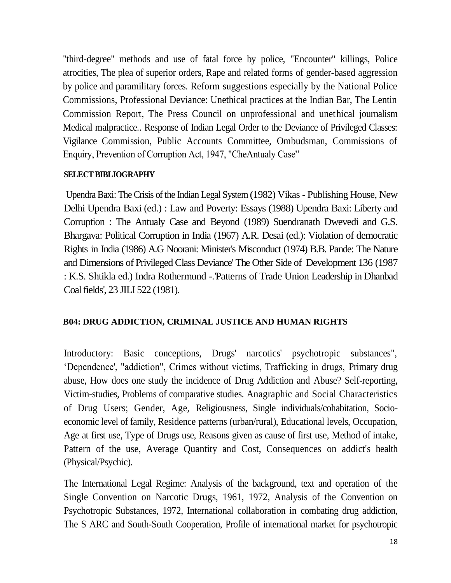"third-degree" methods and use of fatal force by police, "Encounter" killings, Police atrocities, The plea of superior orders, Rape and related forms of gender-based aggression by police and paramilitary forces. Reform suggestions especially by the National Police Commissions, Professional Deviance: Unethical practices at the Indian Bar, The Lentin Commission Report, The Press Council on unprofessional and unethical journalism Medical malpractice.. Response of Indian Legal Order to the Deviance of Privileged Classes: Vigilance Commission, Public Accounts Committee, Ombudsman, Commissions of Enquiry, Prevention of Corruption Act, 1947, "CheAntualy Case"

#### **SELECT BIBLIOGRAPHY**

Upendra Baxi: The Crisis of the Indian Legal System (1982) Vikas - Publishing House, New Delhi Upendra Baxi (ed.) : Law and Poverty: Essays (1988) Upendra Baxi: Liberty and Corruption : The Antualy Case and Beyond (1989) Suendranath Dwevedi and G.S. Bhargava: Political Corruption in India (1967) A.R. Desai (ed.): Violation of democratic Rights in India (1986) A.G Noorani: Minister's Misconduct (1974) B.B. Pande: The Nature and Dimensions of Privileged Class Deviance' The Other Side of Development 136 (1987 : K.S. Shtikla ed.) Indra Rothermund -.'Patterns of Trade Union Leadership in Dhanbad Coal fields', 23 JILI 522 (1981).

#### **B04: DRUG ADDICTION, CRIMINAL JUSTICE AND HUMAN RIGHTS**

Introductory: Basic conceptions, Drugs' narcotics' psychotropic substances", 'Dependence', "addiction", Crimes without victims, Trafficking in drugs, Primary drug abuse, How does one study the incidence of Drug Addiction and Abuse? Self-reporting, Victim-studies, Problems of comparative studies. Anagraphic and Social Characteristics of Drug Users; Gender, Age, Religiousness, Single individuals/cohabitation, Socioeconomic level of family, Residence patterns (urban/rural), Educational levels, Occupation, Age at first use, Type of Drugs use, Reasons given as cause of first use, Method of intake, Pattern of the use, Average Quantity and Cost, Consequences on addict's health (Physical/Psychic).

The International Legal Regime: Analysis of the background, text and operation of the Single Convention on Narcotic Drugs, 1961, 1972, Analysis of the Convention on Psychotropic Substances, 1972, International collaboration in combating drug addiction, The S ARC and South-South Cooperation, Profile of international market for psychotropic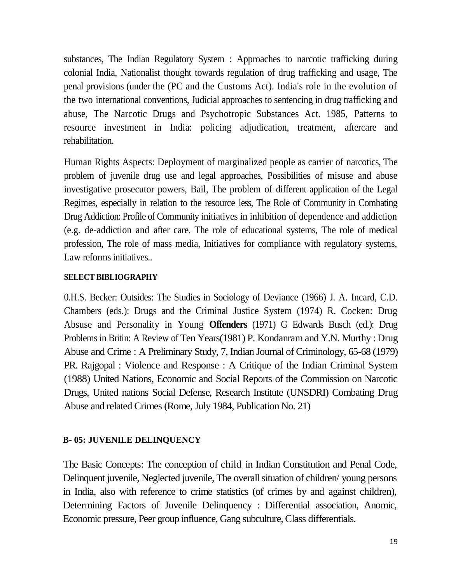substances, The Indian Regulatory System : Approaches to narcotic trafficking during colonial India, Nationalist thought towards regulation of drug trafficking and usage, The penal provisions (under the (PC and the Customs Act). India's role in the evolution of the two international conventions, Judicial approaches to sentencing in drug trafficking and abuse, The Narcotic Drugs and Psychotropic Substances Act. 1985, Patterns to resource investment in India: policing adjudication, treatment, aftercare and rehabilitation.

Human Rights Aspects: Deployment of marginalized people as carrier of narcotics, The problem of juvenile drug use and legal approaches, Possibilities of misuse and abuse investigative prosecutor powers, Bail, The problem of different application of the Legal Regimes, especially in relation to the resource less, The Role of Community in Combating Drug Addiction: Profile of Community initiatives in inhibition of dependence and addiction (e.g. de-addiction and after care. The role of educational systems, The role of medical profession, The role of mass media, Initiatives for compliance with regulatory systems, Law reforms initiatives..

#### **SELECT BIBLIOGRAPHY**

0.H.S. Becker: Outsides: The Studies in Sociology of Deviance (1966) J. A. Incard, C.D. Chambers (eds.): Drugs and the Criminal Justice System (1974) R. Cocken: Drug Absuse and Personality in Young **Offenders** (1971) G Edwards Busch (ed.): Drug Problems in Britin: A Review of Ten Years(1981) P. Kondanram and Y.N. Murthy : Drug Abuse and Crime : A Preliminary Study, 7, Indian Journal of Criminology, 65-68 (1979) PR. Rajgopal : Violence and Response : A Critique of the Indian Criminal System (1988) United Nations, Economic and Social Reports of the Commission on Narcotic Drugs, United nations Social Defense, Research Institute (UNSDRI) Combating Drug Abuse and related Crimes (Rome, July 1984, Publication No. 21)

#### **B- 05: JUVENILE DELINQUENCY**

The Basic Concepts: The conception of child in Indian Constitution and Penal Code, Delinquent juvenile, Neglected juvenile, The overall situation of children/ young persons in India, also with reference to crime statistics (of crimes by and against children), Determining Factors of Juvenile Delinquency : Differential association, Anomic, Economic pressure, Peer group influence, Gang subculture, Class differentials.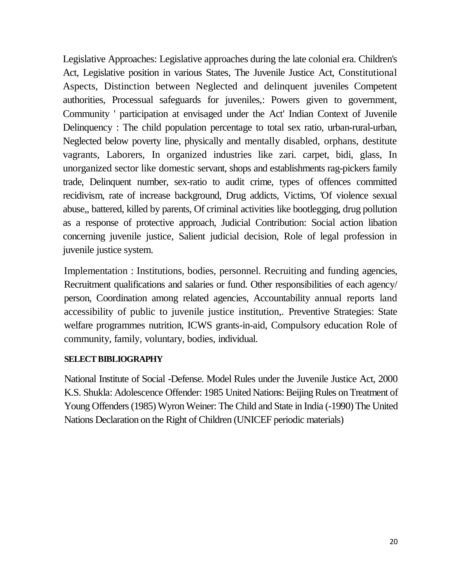Legislative Approaches: Legislative approaches during the late colonial era. Children's Act, Legislative position in various States, The Juvenile Justice Act, Constitutional Aspects, Distinction between Neglected and delinquent juveniles Competent authorities, Processual safeguards for juveniles,: Powers given to government, Community ' participation at envisaged under the Act' Indian Context of Juvenile Delinquency : The child population percentage to total sex ratio, urban-rural-urban, Neglected below poverty line, physically and mentally disabled, orphans, destitute vagrants, Laborers, In organized industries like zari. carpet, bidi, glass, In unorganized sector like domestic servant, shops and establishments rag-pickers family trade, Delinquent number, sex-ratio to audit crime, types of offences committed recidivism, rate of increase background, Drug addicts, Victims, 'Of violence sexual abuse,, battered, killed by parents, Of criminal activities like bootlegging, drug pollution as a response of protective approach, Judicial Contribution: Social action libation concerning juvenile justice, Salient judicial decision, Role of legal profession in juvenile justice system.

Implementation : Institutions, bodies, personnel. Recruiting and funding agencies, Recruitment qualifications and salaries or fund. Other responsibilities of each agency/ person, Coordination among related agencies, Accountability annual reports land accessibility of public to juvenile justice institution,. Preventive Strategies: State welfare programmes nutrition, ICWS grants-in-aid, Compulsory education Role of community, family, voluntary, bodies, individual.

#### **SELECT BIBLIOGRAPHY**

National Institute of Social -Defense. Model Rules under the Juvenile Justice Act, 2000 K.S. Shukla: Adolescence Offender: 1985 United Nations: Beijing Rules on Treatment of Young Offenders (1985) Wyron Weiner: The Child and State in India (-1990) The United Nations Declaration on the Right of Children (UNICEF periodic materials)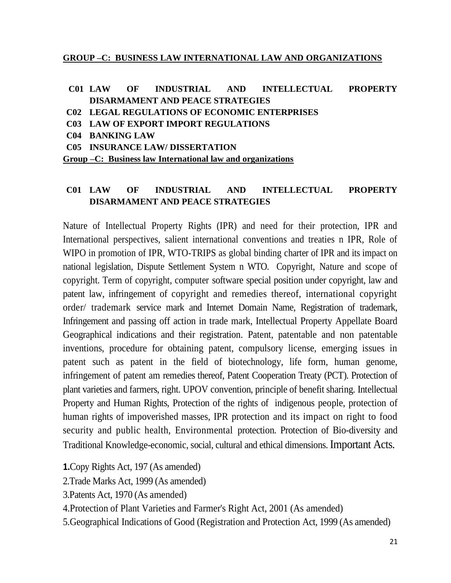#### **GROUP –C: BUSINESS LAW INTERNATIONAL LAW AND ORGANIZATIONS**

## **C01 LAW OF INDUSTRIAL AND INTELLECTUAL PROPERTY DISARMAMENT AND PEACE STRATEGIES**

- **C02 LEGAL REGULATIONS OF ECONOMIC ENTERPRISES**
- **C03 LAW OF EXPORT IMPORT REGULATIONS**
- **C04 BANKING LAW**
- **C05 INSURANCE LAW/ DISSERTATION**

**Group –C: Business law International law and organizations**

#### **C01 LAW OF INDUSTRIAL AND INTELLECTUAL PROPERTY DISARMAMENT AND PEACE STRATEGIES**

Nature of Intellectual Property Rights (IPR) and need for their protection, IPR and International perspectives, salient international conventions and treaties n IPR, Role of WIPO in promotion of IPR, WTO-TRIPS as global binding charter of IPR and its impact on national legislation, Dispute Settlement System n WTO. Copyright, Nature and scope of copyright. Term of copyright, computer software special position under copyright, law and patent law, infringement of copyright and remedies thereof, international copyright order/ trademark service mark and Internet Domain Name, Registration of trademark, Infringement and passing off action in trade mark, Intellectual Property Appellate Board Geographical indications and their registration. Patent, patentable and non patentable inventions, procedure for obtaining patent, compulsory license, emerging issues in patent such as patent in the field of biotechnology, life form, human genome, infringement of patent am remedies thereof, Patent Cooperation Treaty (PCT). Protection of plant varieties and farmers, right. UPOV convention, principle of benefit sharing. Intellectual Property and Human Rights, Protection of the rights of indigenous people, protection of human rights of impoverished masses, IPR protection and its impact on right to food security and public health, Environmental protection. Protection of Bio-diversity and Traditional Knowledge-economic, social, cultural and ethical dimensions. Important Acts.

**1.**Copy Rights Act, 197 (As amended)

2.Trade Marks Act, 1999 (As amended)

3.Patents Act, 1970 (As amended)

4.Protection of Plant Varieties and Farmer's Right Act, 2001 (As amended)

5.Geographical Indications of Good (Registration and Protection Act, 1999 (As amended)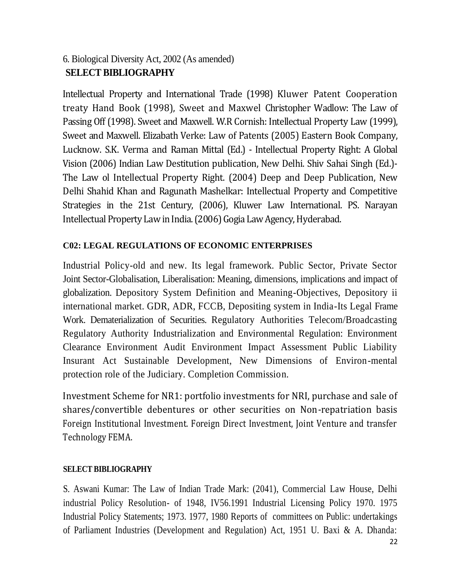# 6. Biological Diversity Act, 2002 (As amended) **SELECT BIBLIOGRAPHY**

Intellectual Property and International Trade (1998) Kluwer Patent Cooperation treaty Hand Book (1998), Sweet and Maxwel Christopher Wadlow: The Law of Passing Off (1998). Sweet and Maxwell. W.R Cornish: Intellectual Property Law (1999), Sweet and Maxwell. Elizabath Verke: Law of Patents (2005) Eastern Book Company, Lucknow. S.K. Verma and Raman Mittal (Ed.) - Intellectual Property Right: A Global Vision (2006) Indian Law Destitution publication, New Delhi. Shiv Sahai Singh (Ed.)- The Law ol Intellectual Property Right. (2004) Deep and Deep Publication, New Delhi Shahid Khan and Ragunath Mashelkar: Intellectual Property and Competitive Strategies in the 21st Century, (2006), Kluwer Law International. PS. Narayan Intellectual Property Law in India. (2006) Gogia Law Agency, Hyderabad.

## **C02: LEGAL REGULATIONS OF ECONOMIC ENTERPRISES**

Industrial Policy-old and new. Its legal framework. Public Sector, Private Sector Joint Sector-Globalisation, Liberalisation: Meaning, dimensions, implications and impact of globalization. Depository System Definition and Meaning-Objectives, Depository ii international market. GDR, ADR, FCCB, Depositing system in India-Its Legal Frame Work. Dematerialization of Securities. Regulatory Authorities Telecom/Broadcasting Regulatory Authority Industrialization and Environmental Regulation: Environment Clearance Environment Audit Environment Impact Assessment Public Liability Insurant Act Sustainable Development, New Dimensions of Environ-mental protection role of the Judiciary. Completion Commission.

Investment Scheme for NR1: portfolio investments for NRI, purchase and sale of shares/convertible debentures or other securities on Non-repatriation basis Foreign Institutional Investment. Foreign Direct Investment, Joint Venture and transfer Technology FEMA.

## **SELECT BIBLIOGRAPHY**

S. Aswani Kumar: The Law of Indian Trade Mark: (2041), Commercial Law House, Delhi industrial Policy Resolution- of 1948, IV56.1991 Industrial Licensing Policy 1970. 1975 Industrial Policy Statements; 1973. 1977, 1980 Reports of committees on Public: undertakings of Parliament Industries (Development and Regulation) Act, 1951 U. Baxi & A. Dhanda: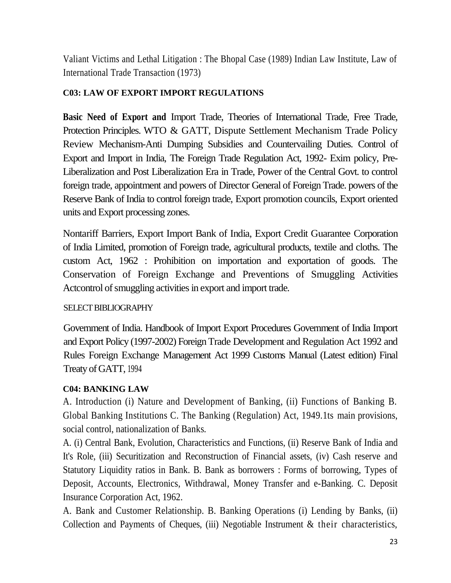Valiant Victims and Lethal Litigation : The Bhopal Case (1989) Indian Law Institute, Law of International Trade Transaction (1973)

## **C03: LAW OF EXPORT IMPORT REGULATIONS**

**Basic Need of Export and** Import Trade, Theories of International Trade, Free Trade, Protection Principles. WTO & GATT, Dispute Settlement Mechanism Trade Policy Review Mechanism-Anti Dumping Subsidies and Countervailing Duties. Control of Export and Import in India, The Foreign Trade Regulation Act, 1992- Exim policy, Pre-Liberalization and Post Liberalization Era in Trade, Power of the Central Govt. to control foreign trade, appointment and powers of Director General of Foreign Trade. powers of the Reserve Bank of India to control foreign trade, Export promotion councils, Export oriented units and Export processing zones.

Nontariff Barriers, Export Import Bank of India, Export Credit Guarantee Corporation of India Limited, promotion of Foreign trade, agricultural products, textile and cloths. The custom Act, 1962 : Prohibition on importation and exportation of goods. The Conservation of Foreign Exchange and Preventions of Smuggling Activities Actcontrol of smuggling activities in export and import trade.

## SELECT BIBLIOGRAPHY

Government of India. Handbook of Import Export Procedures Government of India Import and Export Policy (1997-2002) Foreign Trade Development and Regulation Act 1992 and Rules Foreign Exchange Management Act 1999 Customs Manual (Latest edition) Final Treaty of GATT, 1994

## **C04: BANKING LAW**

A. Introduction (i) Nature and Development of Banking, (ii) Functions of Banking B. Global Banking Institutions C. The Banking (Regulation) Act, 1949.1ts main provisions, social control, nationalization of Banks.

A. (i) Central Bank, Evolution, Characteristics and Functions, (ii) Reserve Bank of India and It's Role, (iii) Securitization and Reconstruction of Financial assets, (iv) Cash reserve and Statutory Liquidity ratios in Bank. B. Bank as borrowers : Forms of borrowing, Types of Deposit, Accounts, Electronics, Withdrawal, Money Transfer and e-Banking. C. Deposit Insurance Corporation Act, 1962.

A. Bank and Customer Relationship. B. Banking Operations (i) Lending by Banks, (ii) Collection and Payments of Cheques, (iii) Negotiable Instrument  $\&$  their characteristics,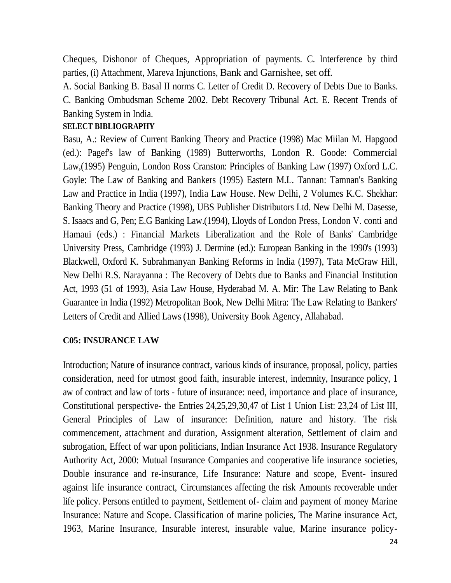Cheques, Dishonor of Cheques, Appropriation of payments. C. Interference by third parties, (i) Attachment, Mareva Injunctions, Bank and Garnishee, set off.

A. Social Banking B. Basal II norms C. Letter of Credit D. Recovery of Debts Due to Banks.

C. Banking Ombudsman Scheme 2002. Debt Recovery Tribunal Act. E. Recent Trends of Banking System in India.

### **SELECT BIBLIOGRAPHY**

Basu, A.: Review of Current Banking Theory and Practice (1998) Mac Miilan M. Hapgood (ed.): Pagef's law of Banking (1989) Butterworths, London R. Goode: Commercial Law,(1995) Penguin, London Ross Cranston: Principles of Banking Law (1997) Oxford L.C. Goyle: The Law of Banking and Bankers (1995) Eastern M.L. Tannan: Tamnan's Banking Law and Practice in India (1997), India Law House. New Delhi, 2 Volumes K.C. Shekhar: Banking Theory and Practice (1998), UBS Publisher Distributors Ltd. New Delhi M. Dasesse, S. Isaacs and G, Pen; E.G Banking Law.(1994), Lloyds of London Press, London V. conti and Hamaui (eds.) : Financial Markets Liberalization and the Role of Banks' Cambridge University Press, Cambridge (1993) J. Dermine (ed.): European Banking in the 1990's (1993) Blackwell, Oxford K. Subrahmanyan Banking Reforms in India (1997), Tata McGraw Hill, New Delhi R.S. Narayanna : The Recovery of Debts due to Banks and Financial Institution Act, 1993 (51 of 1993), Asia Law House, Hyderabad M. A. Mir: The Law Relating to Bank Guarantee in India (1992) Metropolitan Book, New Delhi Mitra: The Law Relating to Bankers' Letters of Credit and Allied Laws (1998), University Book Agency, Allahabad.

## **C05: INSURANCE LAW**

Introduction; Nature of insurance contract, various kinds of insurance, proposal, policy, parties consideration, need for utmost good faith, insurable interest, indemnity, Insurance policy, 1 aw of contract and law of torts - future of insurance: need, importance and place of insurance, Constitutional perspective- the Entries 24,25,29,30,47 of List 1 Union List: 23,24 of List III, General Principles of Law of insurance: Definition, nature and history. The risk commencement, attachment and duration, Assignment alteration, Settlement of claim and subrogation, Effect of war upon politicians, Indian Insurance Act 1938. Insurance Regulatory Authority Act, 2000: Mutual Insurance Companies and cooperative life insurance societies, Double insurance and re-insurance, Life Insurance: Nature and scope, Event- insured against life insurance contract, Circumstances affecting the risk Amounts recoverable under life policy. Persons entitled to payment, Settlement of- claim and payment of money Marine Insurance: Nature and Scope. Classification of marine policies, The Marine insurance Act, 1963, Marine Insurance, Insurable interest, insurable value, Marine insurance policy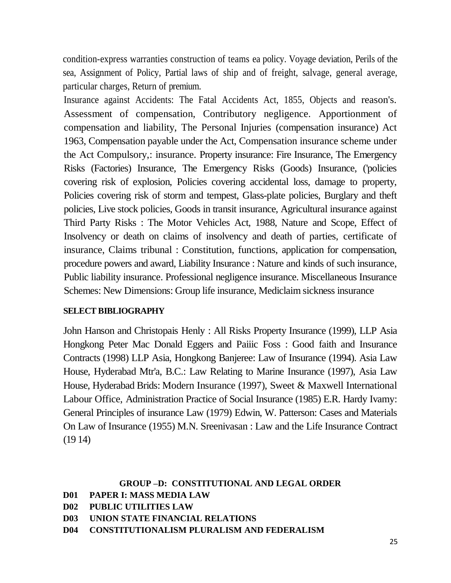condition-express warranties construction of teams ea policy. Voyage deviation, Perils of the sea, Assignment of Policy, Partial laws of ship and of freight, salvage, general average, particular charges, Return of premium.

Insurance against Accidents: The Fatal Accidents Act, 1855, Objects and reason's. Assessment of compensation, Contributory negligence. Apportionment of compensation and liability, The Personal Injuries (compensation insurance) Act 1963, Compensation payable under the Act, Compensation insurance scheme under the Act Compulsory,: insurance. Property insurance: Fire Insurance, The Emergency Risks (Factories) Insurance, The Emergency Risks (Goods) Insurance, ('policies covering risk of explosion, Policies covering accidental loss, damage to property, Policies covering risk of storm and tempest, Glass-plate policies, Burglary and theft policies, Live stock policies, Goods in transit insurance, Agricultural insurance against Third Party Risks : The Motor Vehicles Act, 1988, Nature and Scope, Effect of Insolvency or death on claims of insolvency and death of parties, certificate of insurance, Claims tribunal : Constitution, functions, application for compensation, procedure powers and award, Liability Insurance : Nature and kinds of such insurance, Public liability insurance. Professional negligence insurance. Miscellaneous Insurance Schemes: New Dimensions: Group life insurance, Mediclaim sickness insurance

#### **SELECT BIBLIOGRAPHY**

John Hanson and Christopais Henly : All Risks Property Insurance (1999), LLP Asia Hongkong Peter Mac Donald Eggers and Paiiic Foss : Good faith and Insurance Contracts (1998) LLP Asia, Hongkong Banjeree: Law of Insurance (1994). Asia Law House, Hyderabad Mtr'a, B.C.: Law Relating to Marine Insurance (1997), Asia Law House, Hyderabad Brids: Modern Insurance (1997), Sweet & Maxwell International Labour Office, Administration Practice of Social Insurance (1985) E.R. Hardy Ivamy: General Principles of insurance Law (1979) Edwin, W. Patterson: Cases and Materials On Law of Insurance (1955) M.N. Sreenivasan : Law and the Life Insurance Contract (19 14)

#### **GROUP –D: CONSTITUTIONAL AND LEGAL ORDER**

```
D01 PAPER I: MASS MEDIA LAW
```
- **D02 PUBLIC UTILITIES LAW**
- **D03 UNION STATE FINANCIAL RELATIONS**
- **D04 CONSTITUTIONALISM PLURALISM AND FEDERALISM**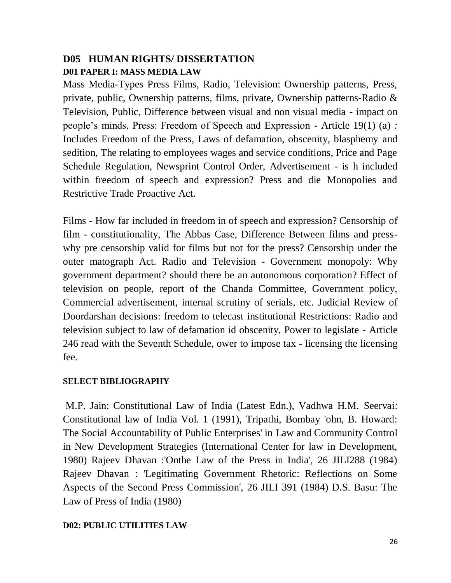## **D05 HUMAN RIGHTS/ DISSERTATION D01 PAPER I: MASS MEDIA LAW**

Mass Media-Types Press Films, Radio, Television: Ownership patterns, Press, private, public, Ownership patterns, films, private, Ownership patterns-Radio & Television, Public, Difference between visual and non visual media - impact on people's minds, Press: Freedom of Speech and Expression - Article 19(1) (a) *:*  Includes Freedom of the Press, Laws of defamation, obscenity, blasphemy and sedition, The relating to employees wages and service conditions, Price and Page Schedule Regulation, Newsprint Control Order, Advertisement - is h included within freedom of speech and expression? Press and die Monopolies and Restrictive Trade Proactive Act.

Films - How far included in freedom in of speech and expression? Censorship of film - constitutionality, The Abbas Case, Difference Between films and presswhy pre censorship valid for films but not for the press? Censorship under the outer matograph Act. Radio and Television - Government monopoly: Why government department? should there be an autonomous corporation? Effect of television on people, report of the Chanda Committee, Government policy, Commercial advertisement, internal scrutiny of serials, etc. Judicial Review of Doordarshan decisions: freedom to telecast institutional Restrictions: Radio and television subject to law of defamation id obscenity, Power to legislate - Article 246 read with the Seventh Schedule, ower to impose tax - licensing the licensing fee.

## **SELECT BIBLIOGRAPHY**

M.P. Jain: Constitutional Law of India (Latest Edn.), Vadhwa H.M. Seervai: Constitutional law of India Vol. 1 (1991), Tripathi, Bombay 'ohn, B. Howard: The Social Accountability of Public Enterprises' in Law and Community Control in New Development Strategies (International Center for law in Development, 1980) Rajeev Dhavan :'Onthe Law of the Press in India', 26 JILI288 (1984) Rajeev Dhavan : 'Legitimating Government Rhetoric: Reflections on Some Aspects of the Second Press Commission', 26 JILI 391 (1984) D.S. Basu: The Law of Press of India (1980)

## **D02: PUBLIC UTILITIES LAW**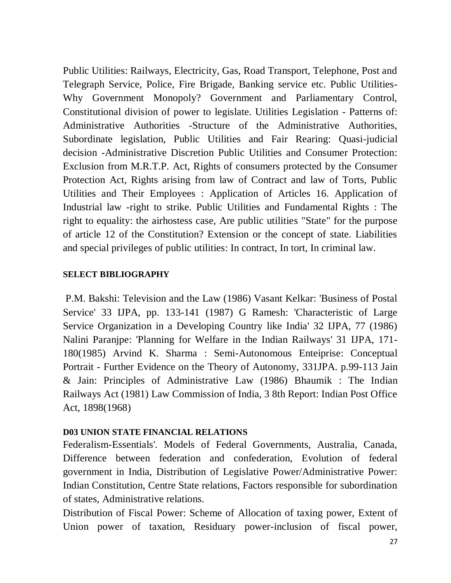Public Utilities: Railways, Electricity, Gas, Road Transport, Telephone, Post and Telegraph Service, Police, Fire Brigade, Banking service etc. Public Utilities-Why Government Monopoly? Government and Parliamentary Control, Constitutional division of power to legislate. Utilities Legislation - Patterns of: Administrative Authorities -Structure of the Administrative Authorities, Subordinate legislation, Public Utilities and Fair Rearing: Quasi-judicial decision -Administrative Discretion Public Utilities and Consumer Protection: Exclusion from M.R.T.P. Act, Rights of consumers protected by the Consumer Protection Act, Rights arising from law of Contract and law of Torts, Public Utilities and Their Employees : Application of Articles 16. Application of Industrial law -right to strike. Public Utilities and Fundamental Rights : The right to equality: the airhostess case, Are public utilities "State" for the purpose of article 12 of the Constitution? Extension or the concept of state. Liabilities and special privileges of public utilities: In contract, In tort, In criminal law.

#### **SELECT BIBLIOGRAPHY**

P.M. Bakshi: Television and the Law (1986) Vasant Kelkar: 'Business of Postal Service' 33 IJPA, pp. 133-141 (1987) G Ramesh: 'Characteristic of Large Service Organization in a Developing Country like India' 32 IJPA, 77 (1986) Nalini Paranjpe: 'Planning for Welfare in the Indian Railways' 31 IJPA, 171- 180(1985) Arvind K. Sharma : Semi-Autonomous Enteiprise: Conceptual Portrait - Further Evidence on the Theory of Autonomy, 331JPA. p.99-113 Jain & Jain: Principles of Administrative Law (1986) Bhaumik : The Indian Railways Act (1981) Law Commission of India, 3 8th Report: Indian Post Office Act, 1898(1968)

#### **D03 UNION STATE FINANCIAL RELATIONS**

Federalism-Essentials'. Models of Federal Governments, Australia, Canada, Difference between federation and confederation, Evolution of federal government in India, Distribution of Legislative Power/Administrative Power: Indian Constitution, Centre State relations, Factors responsible for subordination of states, Administrative relations.

Distribution of Fiscal Power: Scheme of Allocation of taxing power, Extent of Union power of taxation, Residuary power-inclusion of fiscal power,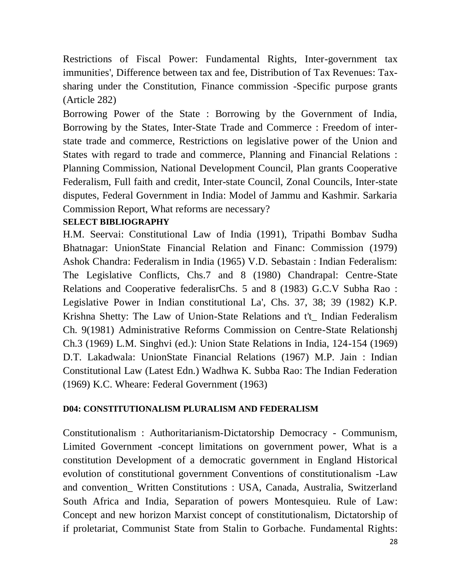Restrictions of Fiscal Power: Fundamental Rights, Inter-government tax immunities', Difference between tax and fee, Distribution of Tax Revenues: Taxsharing under the Constitution, Finance commission -Specific purpose grants (Article 282)

Borrowing Power of the State : Borrowing by the Government of India, Borrowing by the States, Inter-State Trade and Commerce : Freedom of interstate trade and commerce, Restrictions on legislative power of the Union and States with regard to trade and commerce, Planning and Financial Relations : Planning Commission, National Development Council, Plan grants Cooperative Federalism, Full faith and credit, Inter-state Council, Zonal Councils, Inter-state disputes, Federal Government in India: Model of Jammu and Kashmir. Sarkaria Commission Report, What reforms are necessary?

## **SELECT BIBLIOGRAPHY**

H.M. Seervai: Constitutional Law of India (1991), Tripathi Bombav Sudha Bhatnagar: UnionState Financial Relation and Financ: Commission (1979) Ashok Chandra: Federalism in India (1965) V.D. Sebastain : Indian Federalism: The Legislative Conflicts, Chs.7 and 8 (1980) Chandrapal: Centre-State Relations and Cooperative federalisrChs. 5 and 8 (1983) G.C.V Subha Rao : Legislative Power in Indian constitutional La', Chs. 37, 38; 39 (1982) K.P. Krishna Shetty: The Law of Union-State Relations and t't\_ Indian Federalism Ch. 9(1981) Administrative Reforms Commission on Centre-State Relationshj Ch.3 (1969) L.M. Singhvi (ed.): Union State Relations in India, 124-154 (1969) D.T. Lakadwala: UnionState Financial Relations (1967) M.P. Jain : Indian Constitutional Law (Latest Edn.) Wadhwa K. Subba Rao: The Indian Federation (1969) K.C. Wheare: Federal Government (1963)

#### **D04: CONSTITUTIONALISM PLURALISM AND FEDERALISM**

Constitutionalism : Authoritarianism-Dictatorship Democracy - Communism, Limited Government -concept limitations on government power, What is a constitution Development of a democratic government in England Historical evolution of constitutional government Conventions of constitutionalism -Law and convention\_ Written Constitutions : USA, Canada, Australia, Switzerland South Africa and India, Separation of powers Montesquieu. Rule of Law: Concept and new horizon Marxist concept of constitutionalism, Dictatorship of if proletariat, Communist State from Stalin to Gorbache. Fundamental Rights: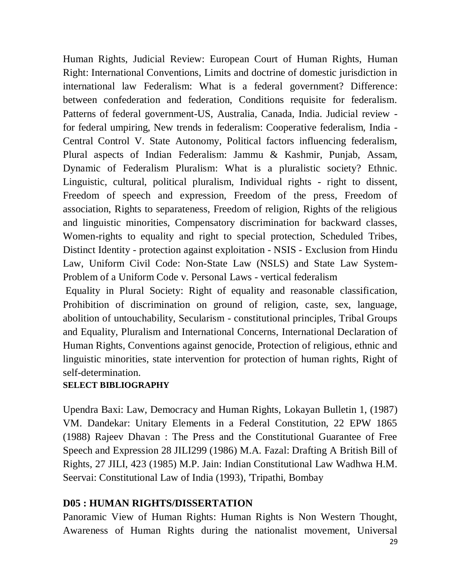Human Rights, Judicial Review: European Court of Human Rights, Human Right: International Conventions, Limits and doctrine of domestic jurisdiction in international law Federalism: What is a federal government? Difference: between confederation and federation, Conditions requisite for federalism. Patterns of federal government-US, Australia, Canada, India. Judicial review for federal umpiring, New trends in federalism: Cooperative federalism, India - Central Control V. State Autonomy, Political factors influencing federalism, Plural aspects of Indian Federalism: Jammu & Kashmir, Punjab, Assam, Dynamic of Federalism Pluralism: What is a pluralistic society? Ethnic. Linguistic, cultural, political pluralism, Individual rights - right to dissent, Freedom of speech and expression, Freedom of the press, Freedom of association, Rights to separateness, Freedom of religion, Rights of the religious and linguistic minorities, Compensatory discrimination for backward classes, Women-rights to equality and right to special protection, Scheduled Tribes, Distinct Identity - protection against exploitation - NSIS - Exclusion from Hindu Law, Uniform Civil Code: Non-State Law (NSLS) and State Law System-Problem of a Uniform Code v. Personal Laws - vertical federalism

Equality in Plural Society: Right of equality and reasonable classification, Prohibition of discrimination on ground of religion, caste, sex, language, abolition of untouchability, Secularism - constitutional principles, Tribal Groups and Equality, Pluralism and International Concerns, International Declaration of Human Rights, Conventions against genocide, Protection of religious, ethnic and linguistic minorities, state intervention for protection of human rights, Right of self-determination.

## **SELECT BIBLIOGRAPHY**

Upendra Baxi: Law, Democracy and Human Rights, Lokayan Bulletin 1, (1987) VM. Dandekar: Unitary Elements in a Federal Constitution, 22 EPW 1865 (1988) Rajeev Dhavan : The Press and the Constitutional Guarantee of Free Speech and Expression 28 JILI299 (1986) M.A. Fazal: Drafting A British Bill of Rights, 27 JILI, 423 (1985) M.P. Jain: Indian Constitutional Law Wadhwa H.M. Seervai: Constitutional Law of India (1993), 'Tripathi, Bombay

## **D05 : HUMAN RIGHTS/DISSERTATION**

Panoramic View of Human Rights: Human Rights is Non Western Thought, Awareness of Human Rights during the nationalist movement, Universal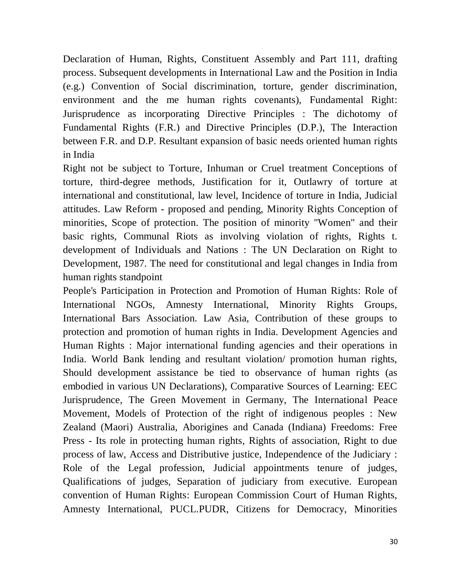Declaration of Human, Rights, Constituent Assembly and Part 111, drafting process. Subsequent developments in International Law and the Position in India (e.g.) Convention of Social discrimination, torture, gender discrimination, environment and the me human rights covenants), Fundamental Right: Jurisprudence as incorporating Directive Principles : The dichotomy of Fundamental Rights (F.R.) and Directive Principles (D.P.), The Interaction between F.R. and D.P. Resultant expansion of basic needs oriented human rights in India

Right not be subject to Torture, Inhuman or Cruel treatment Conceptions of torture, third-degree methods, Justification for it, Outlawry of torture at international and constitutional, law level, Incidence of torture in India, Judicial attitudes. Law Reform - proposed and pending, Minority Rights Conception of minorities, Scope of protection. The position of minority "Women" and their basic rights, Communal Riots as involving violation of rights, Rights t. development of Individuals and Nations : The UN Declaration on Right to Development, 1987. The need for constitutional and legal changes in India from human rights standpoint

People's Participation in Protection and Promotion of Human Rights: Role of International NGOs, Amnesty International, Minority Rights Groups, International Bars Association. Law Asia, Contribution of these groups to protection and promotion of human rights in India. Development Agencies and Human Rights : Major international funding agencies and their operations in India. World Bank lending and resultant violation/ promotion human rights, Should development assistance be tied to observance of human rights (as embodied in various UN Declarations), Comparative Sources of Learning: EEC Jurisprudence, The Green Movement in Germany, The International Peace Movement, Models of Protection of the right of indigenous peoples : New Zealand (Maori) Australia, Aborigines and Canada (Indiana) Freedoms: Free Press - Its role in protecting human rights, Rights of association, Right to due process of law, Access and Distributive justice, Independence of the Judiciary : Role of the Legal profession, Judicial appointments tenure of judges, Qualifications of judges, Separation of judiciary from executive. European convention of Human Rights: European Commission Court of Human Rights, Amnesty International, PUCL.PUDR, Citizens for Democracy, Minorities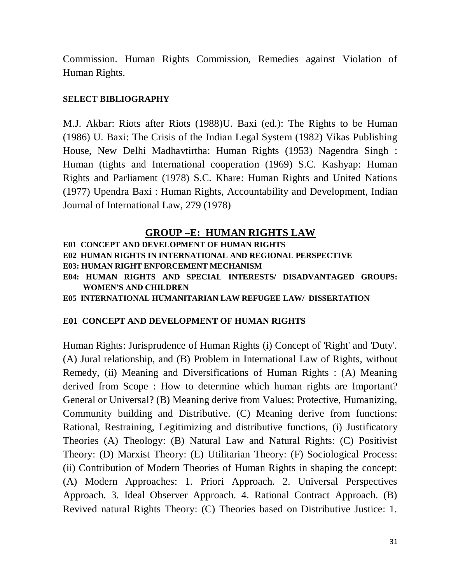Commission. Human Rights Commission, Remedies against Violation of Human Rights.

#### **SELECT BIBLIOGRAPHY**

M.J. Akbar: Riots after Riots (1988)U. Baxi (ed.): The Rights to be Human (1986) U. Baxi: The Crisis of the Indian Legal System (1982) Vikas Publishing House, New Delhi Madhavtirtha: Human Rights (1953) Nagendra Singh : Human (tights and International cooperation (1969) S.C. Kashyap: Human Rights and Parliament (1978) S.C. Khare: Human Rights and United Nations (1977) Upendra Baxi : Human Rights, Accountability and Development, Indian Journal of International Law, 279 (1978)

## **GROUP –E: HUMAN RIGHTS LAW**

**E01 CONCEPT AND DEVELOPMENT OF HUMAN RIGHTS E02 HUMAN RIGHTS IN INTERNATIONAL AND REGIONAL PERSPECTIVE E03: HUMAN RIGHT ENFORCEMENT MECHANISM E04: HUMAN RIGHTS AND SPECIAL INTERESTS/ DISADVANTAGED GROUPS: WOMEN'S AND CHILDREN E05 INTERNATIONAL HUMANITARIAN LAW REFUGEE LAW/ DISSERTATION**

## **E01 CONCEPT AND DEVELOPMENT OF HUMAN RIGHTS**

Human Rights: Jurisprudence of Human Rights (i) Concept of 'Right' and 'Duty'. (A) Jural relationship, and (B) Problem in International Law of Rights, without Remedy, (ii) Meaning and Diversifications of Human Rights : (A) Meaning derived from Scope : How to determine which human rights are Important? General or Universal? (B) Meaning derive from Values: Protective, Humanizing, Community building and Distributive. (C) Meaning derive from functions: Rational, Restraining, Legitimizing and distributive functions, (i) Justificatory Theories (A) Theology: (B) Natural Law and Natural Rights: (C) Positivist Theory: (D) Marxist Theory: (E) Utilitarian Theory: (F) Sociological Process: (ii) Contribution of Modern Theories of Human Rights in shaping the concept: (A) Modern Approaches: 1. Priori Approach. 2. Universal Perspectives Approach. 3. Ideal Observer Approach. 4. Rational Contract Approach. (B) Revived natural Rights Theory: (C) Theories based on Distributive Justice: 1.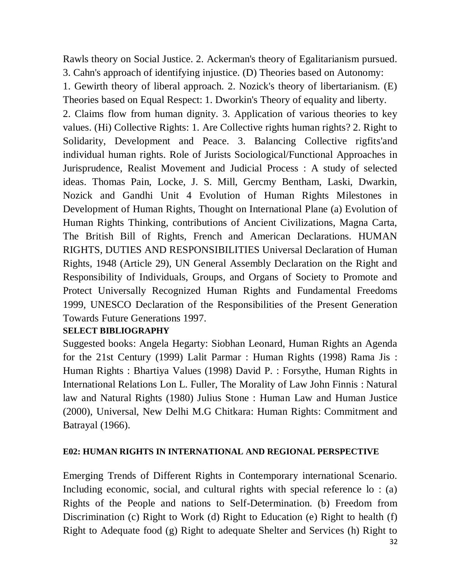Rawls theory on Social Justice. 2. Ackerman's theory of Egalitarianism pursued. 3. Cahn's approach of identifying injustice. (D) Theories based on Autonomy:

1. Gewirth theory of liberal approach. 2. Nozick's theory of libertarianism. (E) Theories based on Equal Respect: 1. Dworkin's Theory of equality and liberty.

2. Claims flow from human dignity. 3. Application of various theories to key values. (Hi) Collective Rights: 1. Are Collective rights human rights? 2. Right to Solidarity, Development and Peace. 3. Balancing Collective rigfits'and individual human rights. Role of Jurists Sociological/Functional Approaches in Jurisprudence, Realist Movement and Judicial Process : A study of selected ideas. Thomas Pain, Locke, J. S. Mill, Gercmy Bentham, Laski, Dwarkin, Nozick and Gandhi Unit 4 Evolution of Human Rights Milestones in Development of Human Rights, Thought on International Plane (a) Evolution of Human Rights Thinking, contributions of Ancient Civilizations, Magna Carta, The British Bill of Rights, French and American Declarations. HUMAN RIGHTS, DUTIES AND RESPONSIBILITIES Universal Declaration of Human Rights, 1948 (Article 29), UN General Assembly Declaration on the Right and Responsibility of Individuals, Groups, and Organs of Society to Promote and Protect Universally Recognized Human Rights and Fundamental Freedoms 1999, UNESCO Declaration of the Responsibilities of the Present Generation Towards Future Generations 1997.

#### **SELECT BIBLIOGRAPHY**

Suggested books: Angela Hegarty: Siobhan Leonard, Human Rights an Agenda for the 21st Century (1999) Lalit Parmar : Human Rights (1998) Rama Jis : Human Rights : Bhartiya Values (1998) David P. : Forsythe, Human Rights in International Relations Lon L. Fuller, The Morality of Law John Finnis : Natural law and Natural Rights (1980) Julius Stone : Human Law and Human Justice (2000), Universal, New Delhi M.G Chitkara: Human Rights: Commitment and Batrayal (1966).

## **E02: HUMAN RIGHTS IN INTERNATIONAL AND REGIONAL PERSPECTIVE**

Emerging Trends of Different Rights in Contemporary international Scenario. Including economic, social, and cultural rights with special reference lo : (a) Rights of the People and nations to Self-Determination. (b) Freedom from Discrimination (c) Right to Work (d) Right to Education (e) Right to health (f) Right to Adequate food (g) Right to adequate Shelter and Services (h) Right to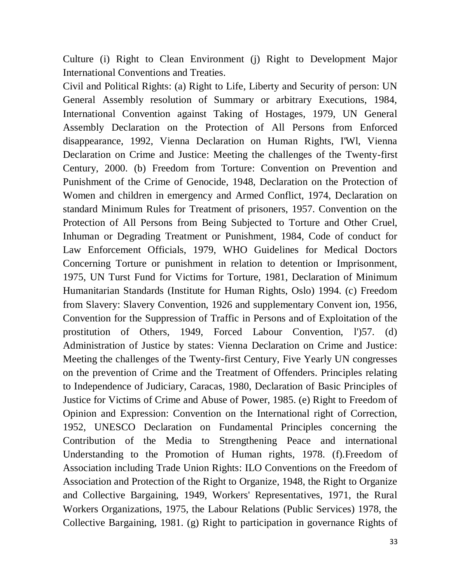Culture (i) Right to Clean Environment (j) Right to Development Major International Conventions and Treaties.

Civil and Political Rights: (a) Right to Life, Liberty and Security of person: UN General Assembly resolution of Summary or arbitrary Executions, 1984, International Convention against Taking of Hostages, 1979, UN General Assembly Declaration on the Protection of All Persons from Enforced disappearance, 1992, Vienna Declaration on Human Rights, I'Wl, Vienna Declaration on Crime and Justice: Meeting the challenges of the Twenty-first Century, 2000. (b) Freedom from Torture: Convention on Prevention and Punishment of the Crime of Genocide, 1948, Declaration on the Protection of Women and children in emergency and Armed Conflict, 1974, Declaration on standard Minimum Rules for Treatment of prisoners, 1957. Convention on the Protection of All Persons from Being Subjected to Torture and Other Cruel, Inhuman or Degrading Treatment or Punishment, 1984, Code of conduct for Law Enforcement Officials, 1979, WHO Guidelines for Medical Doctors Concerning Torture or punishment in relation to detention or Imprisonment, 1975, UN Turst Fund for Victims for Torture, 1981, Declaration of Minimum Humanitarian Standards (Institute for Human Rights, Oslo) 1994. (c) Freedom from Slavery: Slavery Convention, 1926 and supplementary Convent ion, 1956, Convention for the Suppression of Traffic in Persons and of Exploitation of the prostitution of Others, 1949, Forced Labour Convention, l')57. (d) Administration of Justice by states: Vienna Declaration on Crime and Justice: Meeting the challenges of the Twenty-first Century, Five Yearly UN congresses on the prevention of Crime and the Treatment of Offenders. Principles relating to Independence of Judiciary, Caracas, 1980, Declaration of Basic Principles of Justice for Victims of Crime and Abuse of Power, 1985. (e) Right to Freedom of Opinion and Expression: Convention on the International right of Correction, 1952, UNESCO Declaration on Fundamental Principles concerning the Contribution of the Media to Strengthening Peace and international Understanding to the Promotion of Human rights, 1978. (f).Freedom of Association including Trade Union Rights: ILO Conventions on the Freedom of Association and Protection of the Right to Organize, 1948, the Right to Organize and Collective Bargaining, 1949, Workers' Representatives, 1971, the Rural Workers Organizations, 1975, the Labour Relations (Public Services) 1978, the Collective Bargaining, 1981. (g) Right to participation in governance Rights of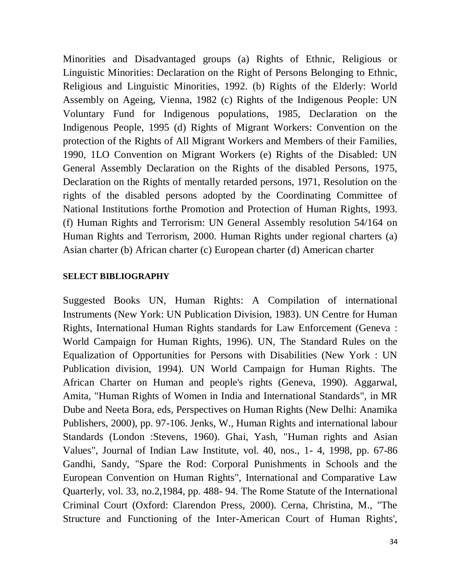Minorities and Disadvantaged groups (a) Rights of Ethnic, Religious or Linguistic Minorities: Declaration on the Right of Persons Belonging to Ethnic, Religious and Linguistic Minorities, 1992. (b) Rights of the Elderly: World Assembly on Ageing, Vienna, 1982 (c) Rights of the Indigenous People: UN Voluntary Fund for Indigenous populations, 1985, Declaration on the Indigenous People, 1995 (d) Rights of Migrant Workers: Convention on the protection of the Rights of All Migrant Workers and Members of their Families, 1990, 1LO Convention on Migrant Workers (e) Rights of the Disabled: UN General Assembly Declaration on the Rights of the disabled Persons, 1975, Declaration on the Rights of mentally retarded persons, 1971, Resolution on the rights of the disabled persons adopted by the Coordinating Committee of National Institutions forthe Promotion and Protection of Human Rights, 1993. (f) Human Rights and Terrorism: UN General Assembly resolution 54/164 on Human Rights and Terrorism, 2000. Human Rights under regional charters (a) Asian charter (b) African charter (c) European charter (d) American charter

#### **SELECT BIBLIOGRAPHY**

Suggested Books UN, Human Rights: A Compilation of international Instruments (New York: UN Publication Division, 1983). UN Centre for Human Rights, International Human Rights standards for Law Enforcement (Geneva : World Campaign for Human Rights, 1996). UN, The Standard Rules on the Equalization of Opportunities for Persons with Disabilities (New York : UN Publication division, 1994). UN World Campaign for Human Rights. The African Charter on Human and people's rights (Geneva, 1990). Aggarwal, Amita, "Human Rights of Women in India and International Standards", in MR Dube and Neeta Bora, eds, Perspectives on Human Rights (New Delhi: Anamika Publishers, 2000), pp. 97-106. Jenks, W., Human Rights and international labour Standards (London :Stevens, 1960). Ghai, Yash, "Human rights and Asian Values", Journal of Indian Law Institute, vol. 40, nos., 1- 4, 1998, pp. 67-86 Gandhi, Sandy, "Spare the Rod: Corporal Punishments in Schools and the European Convention on Human Rights", International and Comparative Law Quarterly, vol. 33, no.2,1984, pp. 488- 94. The Rome Statute of the International Criminal Court (Oxford: Clarendon Press, 2000). Cerna, Christina, M., "The Structure and Functioning of the Inter-American Court of Human Rights',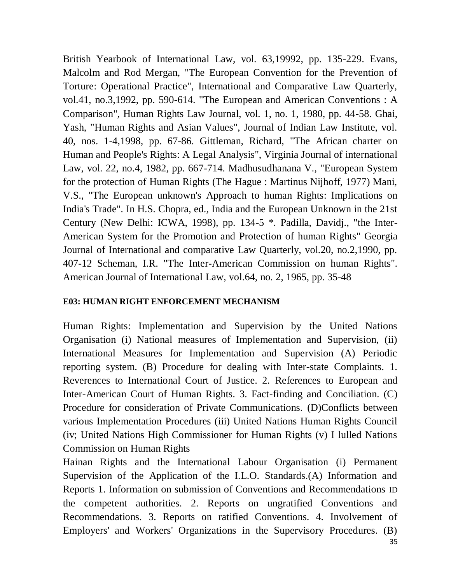British Yearbook of International Law, vol. 63,19992, pp. 135-229. Evans, Malcolm and Rod Mergan, "The European Convention for the Prevention of Torture: Operational Practice", International and Comparative Law Quarterly, vol.41, no.3,1992, pp. 590-614. "The European and American Conventions : A Comparison", Human Rights Law Journal, vol. 1, no. 1, 1980, pp. 44-58. Ghai, Yash, "Human Rights and Asian Values", Journal of Indian Law Institute, vol. 40, nos. 1-4,1998, pp. 67-86. Gittleman, Richard, "The African charter on Human and People's Rights: A Legal Analysis", Virginia Journal of international Law, vol. 22, no.4, 1982, pp. 667-714. Madhusudhanana V., "European System for the protection of Human Rights (The Hague : Martinus Nijhoff, 1977) Mani, V.S., "The European unknown's Approach to human Rights: Implications on India's Trade". In H.S. Chopra, ed., India and the European Unknown in the 21st Century (New Delhi: ICWA, 1998), pp. 134-5 \*. Padilla, Davidj., "the Inter-American System for the Promotion and Protection of human Rights" Georgia Journal of International and comparative Law Quarterly, vol.20, no.2,1990, pp. 407-12 Scheman, I.R. "The Inter-American Commission on human Rights". American Journal of International Law, vol.64, no. 2, 1965, pp. 35-48

## **E03: HUMAN RIGHT ENFORCEMENT MECHANISM**

Human Rights: Implementation and Supervision by the United Nations Organisation (i) National measures of Implementation and Supervision, (ii) International Measures for Implementation and Supervision (A) Periodic reporting system. (B) Procedure for dealing with Inter-state Complaints. 1. Reverences to International Court of Justice. 2. References to European and Inter-American Court of Human Rights. 3. Fact-finding and Conciliation. (C) Procedure for consideration of Private Communications. (D)Conflicts between various Implementation Procedures (iii) United Nations Human Rights Council (iv; United Nations High Commissioner for Human Rights (v) I lulled Nations Commission on Human Rights

Hainan Rights and the International Labour Organisation (i) Permanent Supervision of the Application of the I.L.O. Standards.(A) Information and Reports 1. Information on submission of Conventions and Recommendations ID the competent authorities. 2. Reports on ungratified Conventions and Recommendations. 3. Reports on ratified Conventions. 4. Involvement of Employers' and Workers' Organizations in the Supervisory Procedures. (B)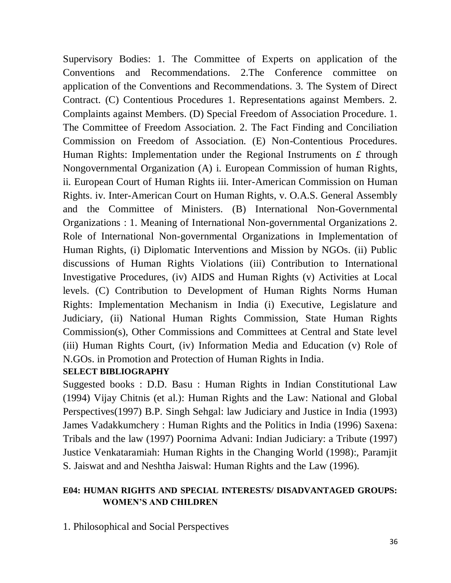Supervisory Bodies: 1. The Committee of Experts on application of the Conventions and Recommendations. 2.The Conference committee on application of the Conventions and Recommendations. 3. The System of Direct Contract. (C) Contentious Procedures 1. Representations against Members. 2. Complaints against Members. (D) Special Freedom of Association Procedure. 1. The Committee of Freedom Association. 2. The Fact Finding and Conciliation Commission on Freedom of Association. (E) Non-Contentious Procedures. Human Rights: Implementation under the Regional Instruments on *£* through Nongovernmental Organization (A) i. European Commission of human Rights, ii. European Court of Human Rights iii. Inter-American Commission on Human Rights. iv. Inter-American Court on Human Rights, v. O.A.S. General Assembly and the Committee of Ministers. (B) International Non-Governmental Organizations : 1. Meaning of International Non-governmental Organizations 2. Role of International Non-governmental Organizations in Implementation of Human Rights, (i) Diplomatic Interventions and Mission by NGOs. (ii) Public discussions of Human Rights Violations (iii) Contribution to International Investigative Procedures, (iv) AIDS and Human Rights (v) Activities at Local levels. (C) Contribution to Development of Human Rights Norms Human Rights: Implementation Mechanism in India (i) Executive, Legislature and Judiciary, (ii) National Human Rights Commission, State Human Rights Commission(s), Other Commissions and Committees at Central and State level (iii) Human Rights Court, (iv) Information Media and Education (v) Role of N.GOs. in Promotion and Protection of Human Rights in India.

## **SELECT BIBLIOGRAPHY**

Suggested books : D.D. Basu : Human Rights in Indian Constitutional Law (1994) Vijay Chitnis (et al.): Human Rights and the Law: National and Global Perspectives(1997) B.P. Singh Sehgal: law Judiciary and Justice in India (1993) James Vadakkumchery : Human Rights and the Politics in India (1996) Saxena: Tribals and the law (1997) Poornima Advani: Indian Judiciary: a Tribute (1997) Justice Venkataramiah: Human Rights in the Changing World (1998):, Paramjit S. Jaiswat and and Neshtha Jaiswal: Human Rights and the Law (1996).

## **E04: HUMAN RIGHTS AND SPECIAL INTERESTS/ DISADVANTAGED GROUPS: WOMEN'S AND CHILDREN**

1. Philosophical and Social Perspectives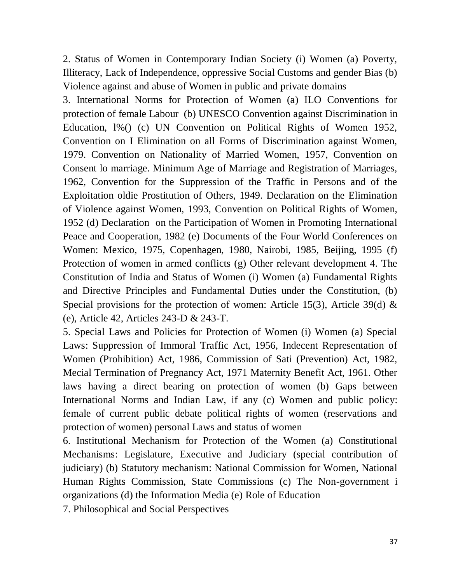2. Status of Women in Contemporary Indian Society (i) Women (a) Poverty, Illiteracy, Lack of Independence, oppressive Social Customs and gender Bias (b) Violence against and abuse of Women in public and private domains

3. International Norms for Protection of Women (a) ILO Conventions for protection of female Labour (b) UNESCO Convention against Discrimination in Education, l%() (c) UN Convention on Political Rights of Women 1952, Convention on I Elimination on all Forms of Discrimination against Women, 1979. Convention on Nationality of Married Women, 1957, Convention on Consent lo marriage. Minimum Age of Marriage and Registration of Marriages, 1962, Convention for the Suppression of the Traffic in Persons and of the Exploitation oldie Prostitution of Others, 1949. Declaration on the Elimination of Violence against Women, 1993, Convention on Political Rights of Women, 1952 (d) Declaration on the Participation of Women in Promoting International Peace and Cooperation, 1982 (e) Documents of the Four World Conferences on Women: Mexico, 1975, Copenhagen, 1980, Nairobi, 1985, Beijing, 1995 (f) Protection of women in armed conflicts (g) Other relevant development 4. The Constitution of India and Status of Women (i) Women (a) Fundamental Rights and Directive Principles and Fundamental Duties under the Constitution, (b) Special provisions for the protection of women: Article 15(3), Article 39(d)  $\&$ (e), Article 42, Articles 243-D & 243-T.

5. Special Laws and Policies for Protection of Women (i) Women (a) Special Laws: Suppression of Immoral Traffic Act, 1956, Indecent Representation of Women (Prohibition) Act, 1986, Commission of Sati (Prevention) Act, 1982, Mecial Termination of Pregnancy Act, 1971 Maternity Benefit Act, 1961. Other laws having a direct bearing on protection of women (b) Gaps between International Norms and Indian Law, if any (c) Women and public policy: female of current public debate political rights of women (reservations and protection of women) personal Laws and status of women

6. Institutional Mechanism for Protection of the Women (a) Constitutional Mechanisms: Legislature, Executive and Judiciary (special contribution of judiciary) (b) Statutory mechanism: National Commission for Women, National Human Rights Commission, State Commissions (c) The Non-government i organizations (d) the Information Media (e) Role of Education

7. Philosophical and Social Perspectives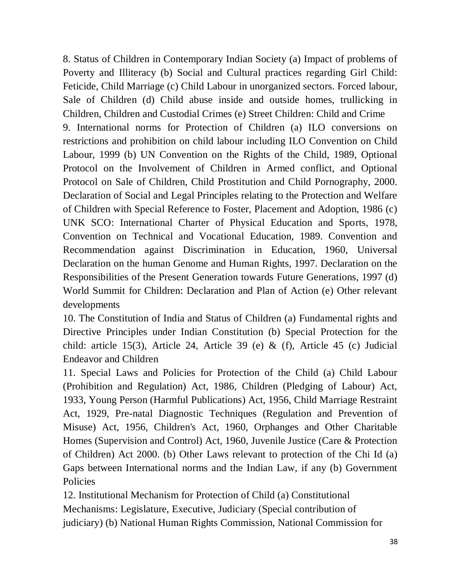8. Status of Children in Contemporary Indian Society (a) Impact of problems of Poverty and Illiteracy (b) Social and Cultural practices regarding Girl Child: Feticide, Child Marriage (c) Child Labour in unorganized sectors. Forced labour, Sale of Children (d) Child abuse inside and outside homes, trullicking in Children, Children and Custodial Crimes (e) Street Children: Child and Crime 9. International norms for Protection of Children (a) ILO conversions on restrictions and prohibition on child labour including ILO Convention on Child Labour, 1999 (b) UN Convention on the Rights of the Child, 1989, Optional Protocol on the Involvement of Children in Armed conflict, and Optional Protocol on Sale of Children, Child Prostitution and Child Pornography, 2000. Declaration of Social and Legal Principles relating to the Protection and Welfare of Children with Special Reference to Foster, Placement and Adoption, 1986 (c) UNK SCO: International Charter of Physical Education and Sports, 1978, Convention on Technical and Vocational Education, 1989. Convention and Recommendation against Discrimination in Education, 1960, Universal Declaration on the human Genome and Human Rights, 1997. Declaration on the Responsibilities of the Present Generation towards Future Generations, 1997 (d) World Summit for Children: Declaration and Plan of Action (e) Other relevant developments

10. The Constitution of India and Status of Children (a) Fundamental rights and Directive Principles under Indian Constitution (b) Special Protection for the child: article 15(3), Article 24, Article 39 (e) & (f), Article 45 (c) Judicial Endeavor and Children

11. Special Laws and Policies for Protection of the Child (a) Child Labour (Prohibition and Regulation) Act, 1986, Children (Pledging of Labour) Act, 1933, Young Person (Harmful Publications) Act, 1956, Child Marriage Restraint Act, 1929, Pre-natal Diagnostic Techniques (Regulation and Prevention of Misuse) Act, 1956, Children's Act, 1960, Orphanges and Other Charitable Homes (Supervision and Control) Act, 1960, Juvenile Justice (Care & Protection of Children) Act 2000. (b) Other Laws relevant to protection of the Chi Id (a) Gaps between International norms and the Indian Law, if any (b) Government Policies

12. Institutional Mechanism for Protection of Child (a) Constitutional Mechanisms: Legislature, Executive, Judiciary (Special contribution of judiciary) (b) National Human Rights Commission, National Commission for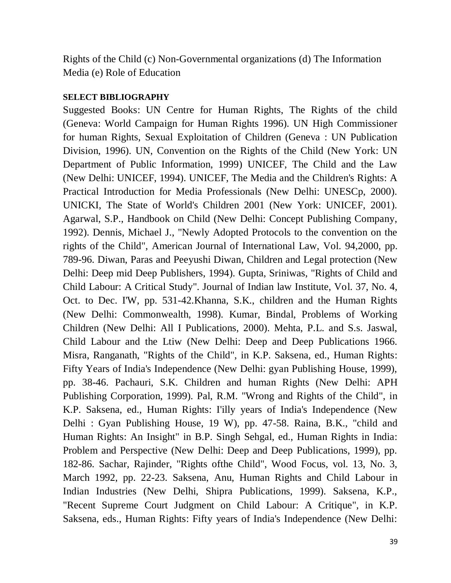Rights of the Child (c) Non-Governmental organizations (d) The Information Media (e) Role of Education

#### **SELECT BIBLIOGRAPHY**

Suggested Books: UN Centre for Human Rights, The Rights of the child (Geneva: World Campaign for Human Rights 1996). UN High Commissioner for human Rights, Sexual Exploitation of Children (Geneva : UN Publication Division, 1996). UN, Convention on the Rights of the Child (New York: UN Department of Public Information, 1999) UNICEF, The Child and the Law (New Delhi: UNICEF, 1994). UNICEF, The Media and the Children's Rights: A Practical Introduction for Media Professionals (New Delhi: UNESCp, 2000). UNICKI, The State of World's Children 2001 (New York: UNICEF, 2001). Agarwal, S.P., Handbook on Child (New Delhi: Concept Publishing Company, 1992). Dennis, Michael J., "Newly Adopted Protocols to the convention on the rights of the Child", American Journal of International Law, Vol. 94,2000, pp. 789-96. Diwan, Paras and Peeyushi Diwan, Children and Legal protection (New Delhi: Deep mid Deep Publishers, 1994). Gupta, Sriniwas, "Rights of Child and Child Labour: A Critical Study". Journal of Indian law Institute, Vol. 37, No. 4, Oct. to Dec. I'W, pp. 531-42.Khanna, S.K., children and the Human Rights (New Delhi: Commonwealth, 1998). Kumar, Bindal, Problems of Working Children (New Delhi: All I Publications, 2000). Mehta, P.L. and S.s. Jaswal, Child Labour and the Ltiw (New Delhi: Deep and Deep Publications 1966. Misra, Ranganath, "Rights of the Child", in K.P. Saksena, ed., Human Rights: Fifty Years of India's Independence (New Delhi: gyan Publishing House, 1999), pp. 38-46. Pachauri, S.K. Children and human Rights (New Delhi: APH Publishing Corporation, 1999). Pal, R.M. "Wrong and Rights of the Child", in K.P. Saksena, ed., Human Rights: I'illy years of India's Independence (New Delhi : Gyan Publishing House, 19 W), pp. 47-58. Raina, B.K., "child and Human Rights: An Insight" in B.P. Singh Sehgal, ed., Human Rights in India: Problem and Perspective (New Delhi: Deep and Deep Publications, 1999), pp. 182-86. Sachar, Rajinder, "Rights ofthe Child", Wood Focus, vol. 13, No. 3, March 1992, pp. 22-23. Saksena, Anu, Human Rights and Child Labour in Indian Industries (New Delhi, Shipra Publications, 1999). Saksena, K.P., "Recent Supreme Court Judgment on Child Labour: A Critique", in K.P. Saksena, eds., Human Rights: Fifty years of India's Independence (New Delhi: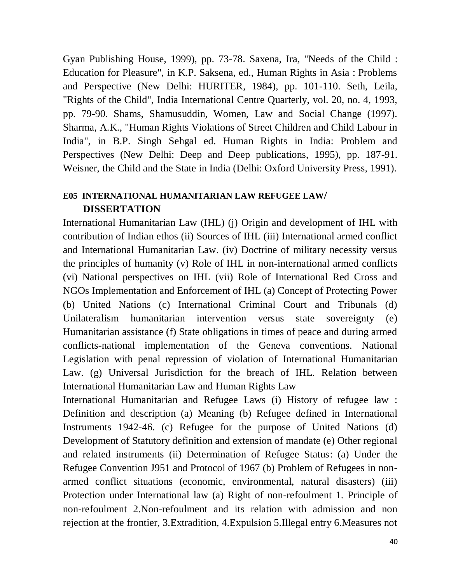Gyan Publishing House, 1999), pp. 73-78. Saxena, Ira, "Needs of the Child : Education for Pleasure", in K.P. Saksena, ed., Human Rights in Asia : Problems and Perspective (New Delhi: HURITER, 1984), pp. 101-110. Seth, Leila, "Rights of the Child", India International Centre Quarterly, vol. 20, no. 4, 1993, pp. 79-90. Shams, Shamusuddin, Women, Law and Social Change (1997). Sharma, A.K., "Human Rights Violations of Street Children and Child Labour in India", in B.P. Singh Sehgal ed. Human Rights in India: Problem and Perspectives (New Delhi: Deep and Deep publications, 1995), pp. 187-91. Weisner, the Child and the State in India (Delhi: Oxford University Press, 1991).

## **E05 INTERNATIONAL HUMANITARIAN LAW REFUGEE LAW/ DISSERTATION**

International Humanitarian Law (IHL) (j) Origin and development of IHL with contribution of Indian ethos (ii) Sources of IHL (iii) International armed conflict and International Humanitarian Law. (iv) Doctrine of military necessity versus the principles of humanity (v) Role of IHL in non-international armed conflicts (vi) National perspectives on IHL (vii) Role of International Red Cross and NGOs Implementation and Enforcement of IHL (a) Concept of Protecting Power (b) United Nations (c) International Criminal Court and Tribunals (d) Unilateralism humanitarian intervention versus state sovereignty (e) Humanitarian assistance (f) State obligations in times of peace and during armed conflicts-national implementation of the Geneva conventions. National Legislation with penal repression of violation of International Humanitarian Law. (g) Universal Jurisdiction for the breach of IHL. Relation between International Humanitarian Law and Human Rights Law

International Humanitarian and Refugee Laws (i) History of refugee law : Definition and description (a) Meaning (b) Refugee defined in International Instruments 1942-46. (c) Refugee for the purpose of United Nations (d) Development of Statutory definition and extension of mandate (e) Other regional and related instruments (ii) Determination of Refugee Status: (a) Under the Refugee Convention J951 and Protocol of 1967 (b) Problem of Refugees in nonarmed conflict situations (economic, environmental, natural disasters) (iii) Protection under International law (a) Right of non-refoulment 1. Principle of non-refoulment 2.Non-refoulment and its relation with admission and non rejection at the frontier, 3.Extradition, 4.Expulsion 5.Illegal entry 6.Measures not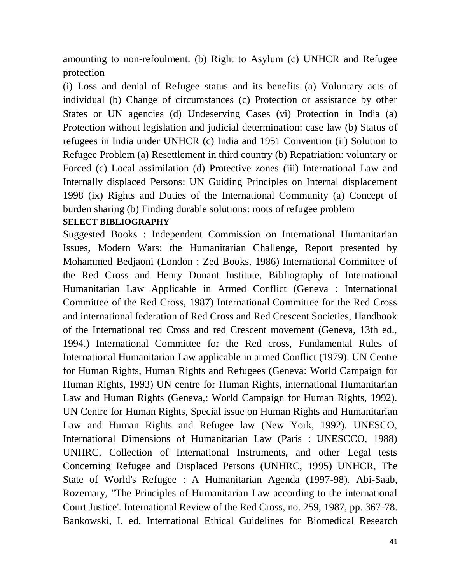amounting to non-refoulment. (b) Right to Asylum (c) UNHCR and Refugee protection

(i) Loss and denial of Refugee status and its benefits (a) Voluntary acts of individual (b) Change of circumstances (c) Protection or assistance by other States or UN agencies (d) Undeserving Cases (vi) Protection in India (a) Protection without legislation and judicial determination: case law (b) Status of refugees in India under UNHCR (c) India and 1951 Convention (ii) Solution to Refugee Problem (a) Resettlement in third country (b) Repatriation: voluntary or Forced (c) Local assimilation (d) Protective zones (iii) International Law and Internally displaced Persons: UN Guiding Principles on Internal displacement 1998 (ix) Rights and Duties of the International Community (a) Concept of burden sharing (b) Finding durable solutions: roots of refugee problem

## **SELECT BIBLIOGRAPHY**

Suggested Books : Independent Commission on International Humanitarian Issues, Modern Wars: the Humanitarian Challenge, Report presented by Mohammed Bedjaoni (London : Zed Books, 1986) International Committee of the Red Cross and Henry Dunant Institute, Bibliography of International Humanitarian Law Applicable in Armed Conflict (Geneva : International Committee of the Red Cross, 1987) International Committee for the Red Cross and international federation of Red Cross and Red Crescent Societies, Handbook of the International red Cross and red Crescent movement (Geneva, 13th ed., 1994.) International Committee for the Red cross, Fundamental Rules of International Humanitarian Law applicable in armed Conflict (1979). UN Centre for Human Rights, Human Rights and Refugees (Geneva: World Campaign for Human Rights, 1993) UN centre for Human Rights, international Humanitarian Law and Human Rights (Geneva,: World Campaign for Human Rights, 1992). UN Centre for Human Rights, Special issue on Human Rights and Humanitarian Law and Human Rights and Refugee law (New York, 1992). UNESCO, International Dimensions of Humanitarian Law (Paris : UNESCCO, 1988) UNHRC, Collection of International Instruments, and other Legal tests Concerning Refugee and Displaced Persons (UNHRC, 1995) UNHCR, The State of World's Refugee : A Humanitarian Agenda (1997-98). Abi-Saab, Rozemary, "The Principles of Humanitarian Law according to the international Court Justice'. International Review of the Red Cross, no. 259, 1987, pp. 367-78. Bankowski, I, ed. International Ethical Guidelines for Biomedical Research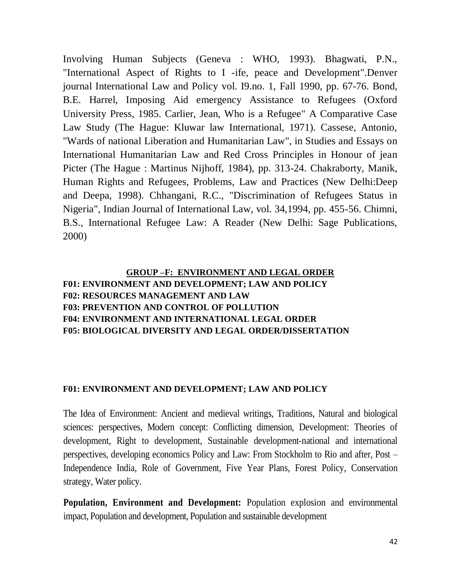Involving Human Subjects (Geneva : WHO, 1993). Bhagwati, P.N., "International Aspect of Rights to I -ife, peace and Development".Denver journal International Law and Policy vol. I9.no. 1, Fall 1990, pp. 67-76. Bond, B.E. Harrel, Imposing Aid emergency Assistance to Refugees (Oxford University Press, 1985. Carlier, Jean, Who is a Refugee" A Comparative Case Law Study (The Hague: Kluwar law International, 1971). Cassese, Antonio, "Wards of national Liberation and Humanitarian Law", in Studies and Essays on International Humanitarian Law and Red Cross Principles in Honour of jean Picter (The Hague : Martinus Nijhoff, 1984), pp. 313-24. Chakraborty, Manik, Human Rights and Refugees, Problems, Law and Practices (New Delhi:Deep and Deepa, 1998). Chhangani, R.C., "Discrimination of Refugees Status in Nigeria", Indian Journal of International Law, vol. 34,1994, pp. 455-56. Chimni, B.S., International Refugee Law: A Reader (New Delhi: Sage Publications, 2000)

## **GROUP –F: ENVIRONMENT AND LEGAL ORDER F01: ENVIRONMENT AND DEVELOPMENT; LAW AND POLICY F02: RESOURCES MANAGEMENT AND LAW F03: PREVENTION AND CONTROL OF POLLUTION F04: ENVIRONMENT AND INTERNATIONAL LEGAL ORDER F05: BIOLOGICAL DIVERSITY AND LEGAL ORDER/DISSERTATION**

#### **F01: ENVIRONMENT AND DEVELOPMENT; LAW AND POLICY**

The Idea of Environment: Ancient and medieval writings, Traditions, Natural and biological sciences: perspectives, Modern concept: Conflicting dimension, Development: Theories of development, Right to development, Sustainable development-national and international perspectives, developing economics Policy and Law: From Stockholm to Rio and after, Post – Independence India, Role of Government, Five Year Plans, Forest Policy, Conservation strategy, Water policy.

**Population, Environment and Development:** Population explosion and environmental impact, Population and development, Population and sustainable development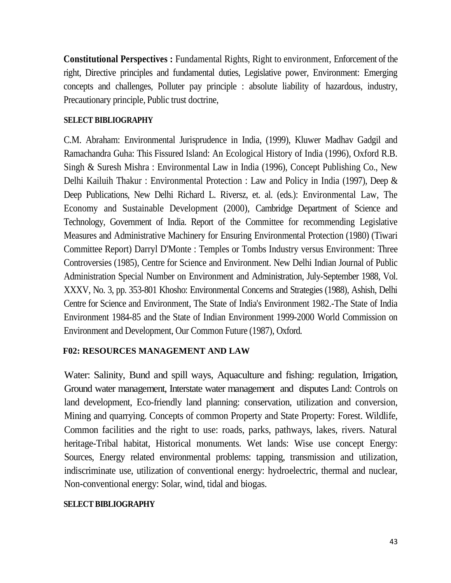**Constitutional Perspectives :** Fundamental Rights, Right to environment, Enforcement of the right, Directive principles and fundamental duties, Legislative power, Environment: Emerging concepts and challenges, Polluter pay principle : absolute liability of hazardous, industry, Precautionary principle, Public trust doctrine,

#### **SELECT BIBLIOGRAPHY**

C.M. Abraham: Environmental Jurisprudence in India, (1999), Kluwer Madhav Gadgil and Ramachandra Guha: This Fissured Island: An Ecological History of India (1996), Oxford R.B. Singh & Suresh Mishra : Environmental Law in India (1996), Concept Publishing Co., New Delhi Kailuih Thakur : Environmental Protection : Law and Policy in India (1997), Deep & Deep Publications, New Delhi Richard L. Riversz, et. al. (eds.): Environmental Law, The Economy and Sustainable Development (2000), Cambridge Department of Science and Technology, Government of India. Report of the Committee for recommending Legislative Measures and Administrative Machinery for Ensuring Environmental Protection (1980) (Tiwari Committee Report) Darryl D'Monte : Temples or Tombs Industry versus Environment: Three Controversies (1985), Centre for Science and Environment. New Delhi Indian Journal of Public Administration Special Number on Environment and Administration, July-September 1988, Vol. XXXV, No. 3, pp. 353-801 Khosho: Environmental Concerns and Strategies (1988), Ashish, Delhi Centre for Science and Environment, The State of India's Environment 1982.-The State of India Environment 1984-85 and the State of Indian Environment 1999-2000 World Commission on Environment and Development, Our Common Future (1987), Oxford.

#### **F02: RESOURCES MANAGEMENT AND LAW**

Water: Salinity, Bund and spill ways, Aquaculture and fishing: regulation, Irrigation, Ground water management, Interstate water management and disputes Land: Controls on land development, Eco-friendly land planning: conservation, utilization and conversion, Mining and quarrying. Concepts of common Property and State Property: Forest. Wildlife, Common facilities and the right to use: roads, parks, pathways, lakes, rivers. Natural heritage-Tribal habitat, Historical monuments. Wet lands: Wise use concept Energy: Sources, Energy related environmental problems: tapping, transmission and utilization, indiscriminate use, utilization of conventional energy: hydroelectric, thermal and nuclear, Non-conventional energy: Solar, wind, tidal and biogas.

#### **SELECT BIBLIOGRAPHY**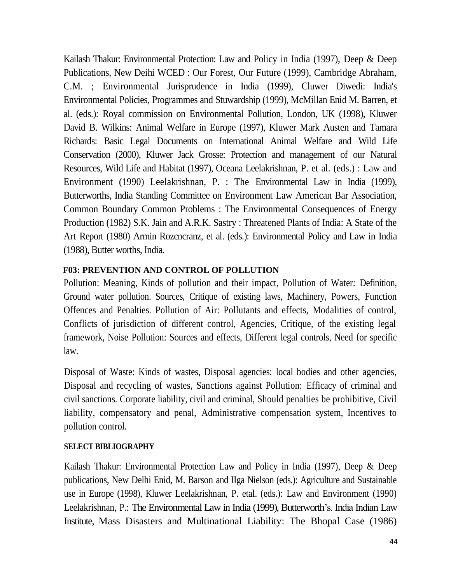Kailash Thakur: Environmental Protection: Law and Policy in India (1997), Deep & Deep Publications, New Deihi WCED : Our Forest, Our Future (1999), Cambridge Abraham, C.M. ; Environmental Jurisprudence in India (1999), Cluwer Diwedi: India's Environmental Policies, Programmes and Stuwardship (1999), McMillan Enid M. Barren, et al. (eds.): Royal commission on Environmental Pollution, London, UK (1998), Kluwer David B. Wilkins: Animal Welfare in Europe (1997), Kluwer Mark Austen and Tamara Richards: Basic Legal Documents on International Animal Welfare and Wild Life Conservation (2000), Kluwer Jack Grosse: Protection and management of our Natural Resources, Wild Life and Habitat (1997), Oceana Leelakrishnan, P. et al. (eds.) : Law and Environment (1990) Leelakrishnan, P. : The Environmental Law in India (1999), Butterworths, India Standing Committee on Environment Law American Bar Association, Common Boundary Common Problems : The Environmental Consequences of Energy Production (1982) S.K. Jain and A.R.K. Sastry : Threatened Plants of India: A State of the Art Report (1980) Armin Rozcncranz, et al. (eds.): Environmental Policy and Law in India (1988), Butter worths, India.

### **F03: PREVENTION AND CONTROL OF POLLUTION**

Pollution: Meaning, Kinds of pollution and their impact, Pollution of Water: Definition, Ground water pollution. Sources, Critique of existing laws, Machinery, Powers, Function Offences and Penalties. Pollution of Air: Pollutants and effects, Modalities of control, Conflicts of jurisdiction of different control, Agencies, Critique, of the existing legal framework, Noise Pollution: Sources and effects, Different legal controls, Need for specific law.

Disposal of Waste: Kinds of wastes, Disposal agencies: local bodies and other agencies, Disposal and recycling of wastes, Sanctions against Pollution: Efficacy of criminal and civil sanctions. Corporate liability, civil and criminal, Should penalties be prohibitive, Civil liability, compensatory and penal, Administrative compensation system, Incentives to pollution control.

#### **SELECT BIBLIOGRAPHY**

Kailash Thakur: Environmental Protection Law and Policy in India (1997), Deep & Deep publications, New Delhi Enid, M. Barson and IIga Nielson (eds.): Agriculture and Sustainable use in Europe (1998), Kluwer Leelakrishnan, P. etal. (eds.): Law and Environment (1990) Leelakrishnan, P.: The Environmental Law in India (1999), Butterworth's. India Indian Law Institute, Mass Disasters and Multinational Liability: The Bhopal Case (1986)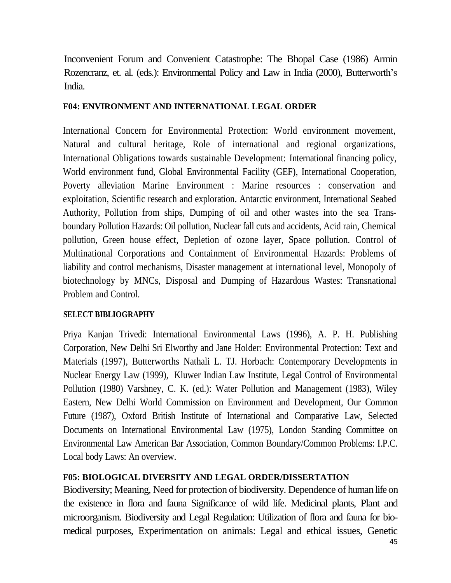Inconvenient Forum and Convenient Catastrophe: The Bhopal Case (1986) Armin Rozencranz, et. al. (eds.): Environmental Policy and Law in India (2000), Butterworth's India.

#### **F04: ENVIRONMENT AND INTERNATIONAL LEGAL ORDER**

International Concern for Environmental Protection: World environment movement, Natural and cultural heritage, Role of international and regional organizations, International Obligations towards sustainable Development: International financing policy, World environment fund, Global Environmental Facility (GEF), International Cooperation, Poverty alleviation Marine Environment : Marine resources : conservation and exploitation, Scientific research and exploration. Antarctic environment, International Seabed Authority, Pollution from ships, Dumping of oil and other wastes into the sea Transboundary Pollution Hazards: Oil pollution, Nuclear fall cuts and accidents, Acid rain, Chemical pollution, Green house effect, Depletion of ozone layer, Space pollution. Control of Multinational Corporations and Containment of Environmental Hazards: Problems of liability and control mechanisms, Disaster management at international level, Monopoly of biotechnology by MNCs, Disposal and Dumping of Hazardous Wastes: Transnational Problem and Control.

#### **SELECT BIBLIOGRAPHY**

Priya Kanjan Trivedi: International Environmental Laws (1996), A. P. H. Publishing Corporation, New Delhi Sri Elworthy and Jane Holder: Environmental Protection: Text and Materials (1997), Butterworths Nathali L. TJ. Horbach: Contemporary Developments in Nuclear Energy Law (1999), Kluwer Indian Law Institute, Legal Control of Environmental Pollution (1980) Varshney, C. K. (ed.): Water Pollution and Management (1983), Wiley Eastern, New Delhi World Commission on Environment and Development, Our Common Future (1987), Oxford British Institute of International and Comparative Law, Selected Documents on International Environmental Law (1975), London Standing Committee on Environmental Law American Bar Association, Common Boundary/Common Problems: I.P.C. Local body Laws: An overview.

## **F05: BIOLOGICAL DIVERSITY AND LEGAL ORDER/DISSERTATION**

Biodiversity; Meaning, Need for protection of biodiversity. Dependence of human life on the existence in flora and fauna Significance of wild life. Medicinal plants, Plant and microorganism. Biodiversity and Legal Regulation: Utilization of flora and fauna for biomedical purposes, Experimentation on animals: Legal and ethical issues, Genetic